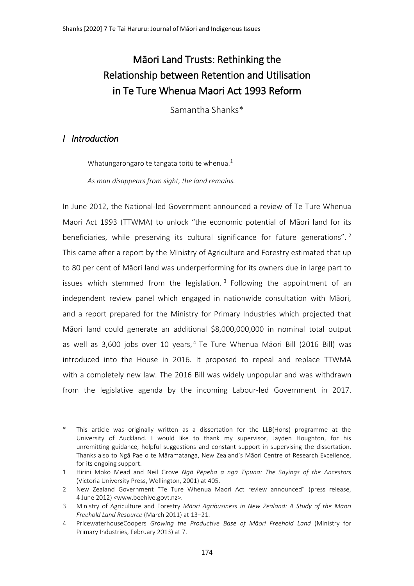# Māori Land Trusts: Rethinking the Relationship between Retention and Utilisation in Te Ture Whenua Maori Act 1993 Reform

Samantha Shanks\*

# *I Introduction*

 $\overline{a}$ 

Whatungarongaro te tangata toitū te whenua. $1$ 

*As man disappears from sight, the land remains.*

In June 2012, the National-led Government announced a review of Te Ture Whenua Maori Act 1993 (TTWMA) to unlock "the economic potential of Māori land for its beneficiaries, while preserving its cultural significance for future generations".<sup>2</sup> This came after a report by the Ministry of Agriculture and Forestry estimated that up to 80 per cent of Māori land was underperforming for its owners due in large part to issues which stemmed from the legislation.<sup>3</sup> Following the appointment of an independent review panel which engaged in nationwide consultation with Māori, and a report prepared for the Ministry for Primary Industries which projected that Māori land could generate an additional \$8,000,000,000 in nominal total output as well as 3,600 jobs over 10 years,  $4$  Te Ture Whenua Māori Bill (2016 Bill) was introduced into the House in 2016. It proposed to repeal and replace TTWMA with a completely new law. The 2016 Bill was widely unpopular and was withdrawn from the legislative agenda by the incoming Labour-led Government in 2017.

This article was originally written as a dissertation for the LLB(Hons) programme at the University of Auckland. I would like to thank my supervisor, Jayden Houghton, for his unremitting guidance, helpful suggestions and constant support in supervising the dissertation. Thanks also to Ngā Pae o te Māramatanga, New Zealand's Māori Centre of Research Excellence, for its ongoing support.

<sup>1</sup> Hirini Moko Mead and Neil Grove *Ngā Pēpeha a ngā Tipuna: The Sayings of the Ancestors*  (Victoria University Press, Wellington, 2001) at 405.

<sup>2</sup> New Zealand Government "Te Ture Whenua Maori Act review announced" (press release, 4 June 2012) <www.beehive.govt.nz>.

<sup>3</sup> Ministry of Agriculture and Forestry *Māori Agribusiness in New Zealand: A Study of the Māori Freehold Land Resource* (March 2011) at 13–21.

<sup>4</sup> PricewaterhouseCoopers *Growing the Productive Base of Māori Freehold Land* (Ministry for Primary Industries, February 2013) at 7.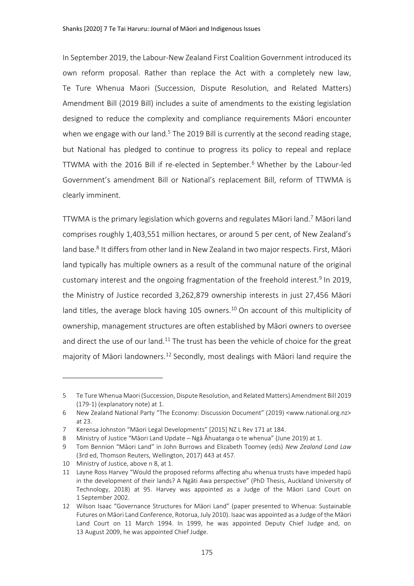In September 2019, the Labour-New Zealand First Coalition Government introduced its own reform proposal. Rather than replace the Act with a completely new law, Te Ture Whenua Maori (Succession, Dispute Resolution, and Related Matters) Amendment Bill (2019 Bill) includes a suite of amendments to the existing legislation designed to reduce the complexity and compliance requirements Māori encounter when we engage with our land.<sup>5</sup> The 2019 Bill is currently at the second reading stage, but National has pledged to continue to progress its policy to repeal and replace TTWMA with the 2016 Bill if re-elected in September.<sup>6</sup> Whether by the Labour-led Government's amendment Bill or National's replacement Bill, reform of TTWMA is clearly imminent.

<span id="page-1-1"></span><span id="page-1-0"></span>TTWMA is the primary legislation which governs and regulates Māori land.<sup>7</sup> Māori land comprises roughly 1,403,551 million hectares, or around 5 per cent, of New Zealand's land base.<sup>8</sup> It differs from other land in New Zealand in two major respects. First, Māori land typically has multiple owners as a result of the communal nature of the original customary interest and the ongoing fragmentation of the freehold interest.<sup>9</sup> In 2019, the Ministry of Justice recorded 3,262,879 ownership interests in just 27,456 Māori land titles, the average block having 105 owners.<sup>10</sup> On account of this multiplicity of ownership, management structures are often established by Māori owners to oversee and direct the use of our land.<sup>11</sup> The trust has been the vehicle of choice for the great majority of Māori landowners.<sup>12</sup> Secondly, most dealings with Māori land require the

<span id="page-1-2"></span><sup>5</sup> Te Ture Whenua Maori (Succession, Dispute Resolution, and Related Matters) Amendment Bill 2019 (179-1) (explanatory note) at 1.

<sup>6</sup> New Zealand National Party "The Economy: Discussion Document" (2019) <www.national.org.nz> at 23.

<sup>7</sup> Kerensa Johnston "Māori Legal Developments" [2015] NZ L Rev 171 at 184.

<sup>8</sup> Ministry of Justice "Māori Land Update – Ngā Āhuatanga o te whenua" (June 2019) at 1.

<sup>9</sup> Tom Bennion "Māori Land" in John Burrows and Elizabeth Toomey (eds) *New Zealand Land Law* (3rd ed, Thomson Reuters, Wellington, 2017) 443 at 457.

<sup>10</sup> Ministry of Justice, above [n 8,](#page-1-0) at 1.

<sup>11</sup> Layne Ross Harvey "Would the proposed reforms affecting ahu whenua trusts have impeded hapū in the development of their lands? A Ngāti Awa perspective" (PhD Thesis, Auckland University of Technology, 2018) at 95. Harvey was appointed as a Judge of the Māori Land Court on 1 September 2002.

<sup>12</sup> Wilson Isaac "Governance Structures for Māori Land" (paper presented to Whenua: Sustainable Futures on Māori Land Conference, Rotorua, July 2010). Isaac was appointed as a Judge of the Māori Land Court on 11 March 1994. In 1999, he was appointed Deputy Chief Judge and, on 13 August 2009, he was appointed Chief Judge.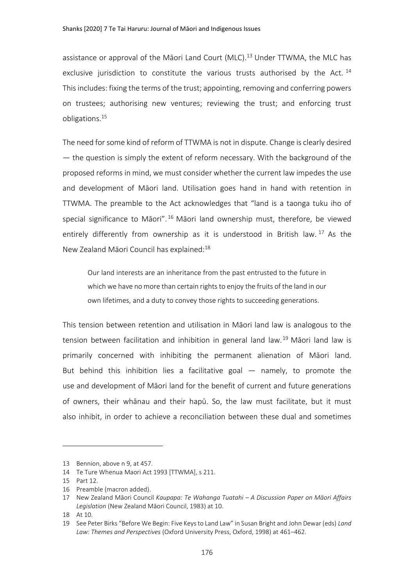assistance or approval of the Māori Land Court (MLC).<sup>13</sup> Under TTWMA, the MLC has exclusive jurisdiction to constitute the various trusts authorised by the Act.  $^{14}$ This includes: fixing the terms of the trust; appointing, removing and conferring powers on trustees; authorising new ventures; reviewing the trust; and enforcing trust obligations.<sup>15</sup>

The need for some kind of reform of TTWMA is not in dispute. Change is clearly desired — the question is simply the extent of reform necessary. With the background of the proposed reforms in mind, we must consider whether the current law impedes the use and development of Māori land. Utilisation goes hand in hand with retention in TTWMA. The preamble to the Act acknowledges that "land is a taonga tuku iho of special significance to Māori". <sup>16</sup> Māori land ownership must, therefore, be viewed entirely differently from ownership as it is understood in British law.  $17$  As the New Zealand Māori Council has explained:<sup>18</sup>

Our land interests are an inheritance from the past entrusted to the future in which we have no more than certain rights to enjoy the fruits of the land in our own lifetimes, and a duty to convey those rights to succeeding generations.

This tension between retention and utilisation in Māori land law is analogous to the tension between facilitation and inhibition in general land law.<sup>19</sup> Māori land law is primarily concerned with inhibiting the permanent alienation of Māori land. But behind this inhibition lies a facilitative goal — namely, to promote the use and development of Māori land for the benefit of current and future generations of owners, their whānau and their hapū. So, the law must facilitate, but it must also inhibit, in order to achieve a reconciliation between these dual and sometimes

<sup>13</sup> Bennion, above n [9,](#page-1-1) at 457.

<sup>14</sup> Te Ture Whenua Maori Act 1993 [TTWMA], s 211.

<sup>15</sup> Part 12.

<sup>16</sup> Preamble (macron added).

<sup>17</sup> New Zealand Māori Council *Kaupapa: Te Wahanga Tuatahi – A Discussion Paper on Māori Affairs Legislation* (New Zealand Māori Council, 1983) at 10.

<sup>18</sup> At 10.

<sup>19</sup> See Peter Birks "Before We Begin: Five Keys to Land Law" in Susan Bright and John Dewar (eds) *Land Law: Themes and Perspectives* (Oxford University Press, Oxford, 1998) at 461–462.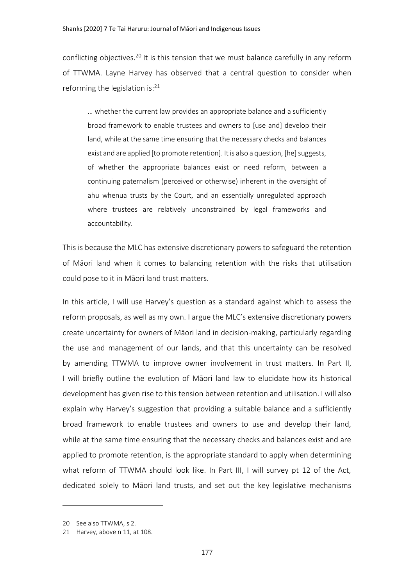conflicting objectives.<sup>20</sup> It is this tension that we must balance carefully in any reform of TTWMA. Layne Harvey has observed that a central question to consider when reforming the legislation is: $21$ 

… whether the current law provides an appropriate balance and a sufficiently broad framework to enable trustees and owners to [use and] develop their land, while at the same time ensuring that the necessary checks and balances exist and are applied [to promote retention]. It is also a question, [he] suggests, of whether the appropriate balances exist or need reform, between a continuing paternalism (perceived or otherwise) inherent in the oversight of ahu whenua trusts by the Court, and an essentially unregulated approach where trustees are relatively unconstrained by legal frameworks and accountability.

This is because the MLC has extensive discretionary powers to safeguard the retention of Māori land when it comes to balancing retention with the risks that utilisation could pose to it in Māori land trust matters.

In this article, I will use Harvey's question as a standard against which to assess the reform proposals, as well as my own. I argue the MLC's extensive discretionary powers create uncertainty for owners of Māori land in decision-making, particularly regarding the use and management of our lands, and that this uncertainty can be resolved by amending TTWMA to improve owner involvement in trust matters. In Part II, I will briefly outline the evolution of Māori land law to elucidate how its historical development has given rise to this tension between retention and utilisation. I will also explain why Harvey's suggestion that providing a suitable balance and a sufficiently broad framework to enable trustees and owners to use and develop their land, while at the same time ensuring that the necessary checks and balances exist and are applied to promote retention, is the appropriate standard to apply when determining what reform of TTWMA should look like. In Part III, I will survey pt 12 of the Act, dedicated solely to Māori land trusts, and set out the key legislative mechanisms

<sup>20</sup> See also TTWMA, s 2.

<sup>21</sup> Harvey, above n [11,](#page-1-2) at 108.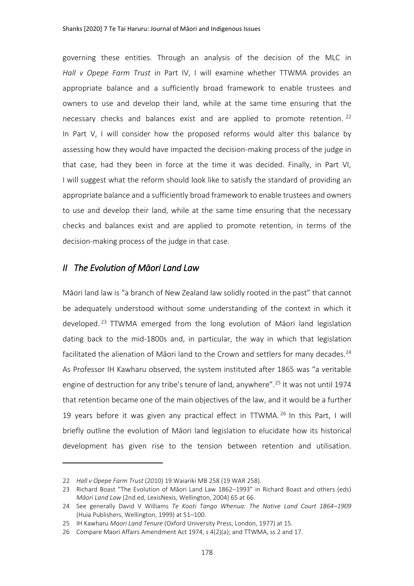<span id="page-4-1"></span>governing these entities. Through an analysis of the decision of the MLC in *Hall v Opepe Farm Trust* in Part IV, I will examine whether TTWMA provides an appropriate balance and a sufficiently broad framework to enable trustees and owners to use and develop their land, while at the same time ensuring that the necessary checks and balances exist and are applied to promote retention. <sup>22</sup> In Part V, I will consider how the proposed reforms would alter this balance by assessing how they would have impacted the decision-making process of the judge in that case, had they been in force at the time it was decided. Finally, in Part VI, I will suggest what the reform should look like to satisfy the standard of providing an appropriate balance and a sufficiently broad framework to enable trustees and owners to use and develop their land, while at the same time ensuring that the necessary checks and balances exist and are applied to promote retention, in terms of the decision-making process of the judge in that case.

## *II The Evolution of Māori Land Law*

<span id="page-4-0"></span>Māori land law is "a branch of New Zealand law solidly rooted in the past" that cannot be adequately understood without some understanding of the context in which it developed. <sup>23</sup> TTWMA emerged from the long evolution of Māori land legislation dating back to the mid-1800s and, in particular, the way in which that legislation facilitated the alienation of Māori land to the Crown and settlers for many decades.<sup>24</sup> As Professor IH Kawharu observed, the system instituted after 1865 was "a veritable engine of destruction for any tribe's tenure of land, anywhere".<sup>25</sup> It was not until 1974 that retention became one of the main objectives of the law, and it would be a further 19 years before it was given any practical effect in TTWMA. <sup>26</sup> In this Part, I will briefly outline the evolution of Māori land legislation to elucidate how its historical development has given rise to the tension between retention and utilisation.

<sup>22</sup> *Hall v Opepe Farm Trust* (2010) 19 Waiariki MB 258 (19 WAR 258).

<sup>23</sup> Richard Boast "The Evolution of Māori Land Law 1862–1993" in Richard Boast and others (eds) *Māori Land Law* (2nd ed, LexisNexis, Wellington, 2004) 65 at 66.

<sup>24</sup> See generally David V Williams *Te Kooti Tango Whenua: The Native Land Court 1864–1909* (Huia Publishers, Wellington, 1999) at 51–100.

<sup>25</sup> IH Kawharu *Maori Land Tenure* (Oxford University Press, London, 1977) at 15.

<sup>26</sup> Compare Maori Affairs Amendment Act 1974, s 4(2)(a); and TTWMA, ss 2 and 17.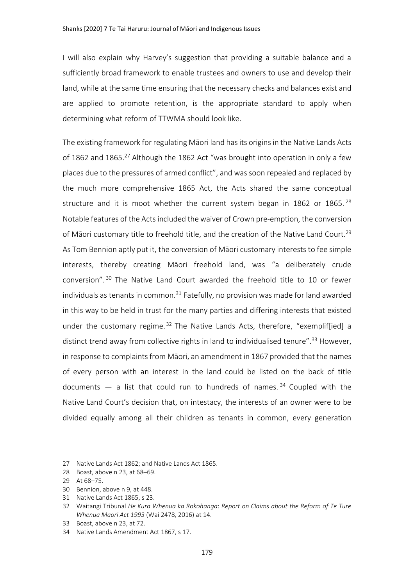I will also explain why Harvey's suggestion that providing a suitable balance and a sufficiently broad framework to enable trustees and owners to use and develop their land, while at the same time ensuring that the necessary checks and balances exist and are applied to promote retention, is the appropriate standard to apply when determining what reform of TTWMA should look like.

The existing framework for regulating Māori land has its origins in the Native Lands Acts of 1862 and 1865.<sup>27</sup> Although the 1862 Act "was brought into operation in only a few places due to the pressures of armed conflict", and was soon repealed and replaced by the much more comprehensive 1865 Act, the Acts shared the same conceptual structure and it is moot whether the current system began in 1862 or 1865.  $^{28}$ Notable features of the Acts included the waiver of Crown pre-emption, the conversion of Māori customary title to freehold title, and the creation of the Native Land Court.<sup>29</sup> As Tom Bennion aptly put it, the conversion of Māori customary interests to fee simple interests, thereby creating Māori freehold land, was "a deliberately crude conversion". <sup>30</sup> The Native Land Court awarded the freehold title to 10 or fewer individuals as tenants in common.<sup>31</sup> Fatefully, no provision was made for land awarded in this way to be held in trust for the many parties and differing interests that existed under the customary regime.<sup>32</sup> The Native Lands Acts, therefore, "exempliffied] a distinct trend away from collective rights in land to individualised tenure".<sup>33</sup> However, in response to complaints from Māori, an amendment in 1867 provided that the names of every person with an interest in the land could be listed on the back of title documents  $-$  a list that could run to hundreds of names.  $34$  Coupled with the Native Land Court's decision that, on intestacy, the interests of an owner were to be divided equally among all their children as tenants in common, every generation

<span id="page-5-0"></span><sup>27</sup> Native Lands Act 1862; and Native Lands Act 1865.

<sup>28</sup> Boast, above n [23,](#page-4-0) at 68–69.

<sup>29</sup> At 68–75.

<sup>30</sup> Bennion, above n [9,](#page-1-1) at 448.

<sup>31</sup> Native Lands Act 1865, s 23.

<sup>32</sup> Waitangi Tribunal *He Kura Whenua ka Rokohanga*: *Report on Claims about the Reform of Te Ture Whenua Maori Act 1993* (Wai 2478, 2016) at 14.

<sup>33</sup> Boast, above n [23,](#page-4-0) at 72.

<sup>34</sup> Native Lands Amendment Act 1867, s 17.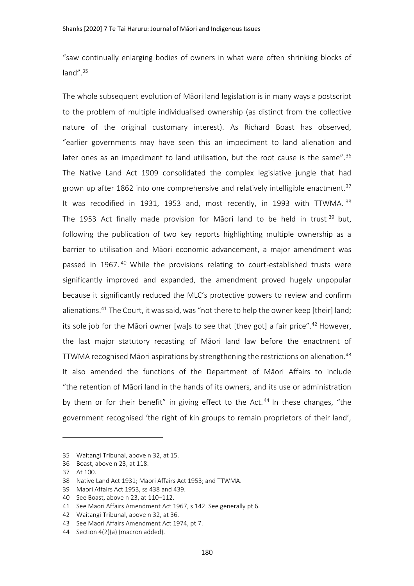"saw continually enlarging bodies of owners in what were often shrinking blocks of land". $35$ 

The whole subsequent evolution of Māori land legislation is in many ways a postscript to the problem of multiple individualised ownership (as distinct from the collective nature of the original customary interest). As Richard Boast has observed, "earlier governments may have seen this an impediment to land alienation and later ones as an impediment to land utilisation, but the root cause is the same".<sup>36</sup> The Native Land Act 1909 consolidated the complex legislative jungle that had grown up after 1862 into one comprehensive and relatively intelligible enactment.<sup>37</sup> It was recodified in 1931, 1953 and, most recently, in 1993 with TTWMA. 38 The 1953 Act finally made provision for Māori land to be held in trust<sup>39</sup> but, following the publication of two key reports highlighting multiple ownership as a barrier to utilisation and Māori economic advancement, a major amendment was passed in 1967.<sup>40</sup> While the provisions relating to court-established trusts were significantly improved and expanded, the amendment proved hugely unpopular because it significantly reduced the MLC's protective powers to review and confirm alienations.<sup>41</sup> The Court, it was said, was "not there to help the owner keep [their] land; its sole job for the Māori owner [wa]s to see that [they got] a fair price".<sup>42</sup> However, the last major statutory recasting of Māori land law before the enactment of TTWMA recognised Māori aspirations by strengthening the restrictions on alienation.<sup>43</sup> It also amended the functions of the Department of Māori Affairs to include "the retention of Māori land in the hands of its owners, and its use or administration by them or for their benefit" in giving effect to the Act. <sup>44</sup> In these changes, "the government recognised 'the right of kin groups to remain proprietors of their land',

<sup>35</sup> Waitangi Tribunal, above n [32,](#page-5-0) at 15.

<sup>36</sup> Boast, above n [23,](#page-4-0) at 118.

<sup>37</sup> At 100.

<sup>38</sup> Native Land Act 1931; Maori Affairs Act 1953; and TTWMA.

<sup>39</sup> Maori Affairs Act 1953, ss 438 and 439.

<sup>40</sup> See Boast, above n [23,](#page-4-0) at 110–112.

<sup>41</sup> See Maori Affairs Amendment Act 1967, s 142. See generally pt 6.

<sup>42</sup> Waitangi Tribunal, above n [32,](#page-5-0) at 36.

<sup>43</sup> See Maori Affairs Amendment Act 1974, pt 7.

<sup>44</sup> Section 4(2)(a) (macron added).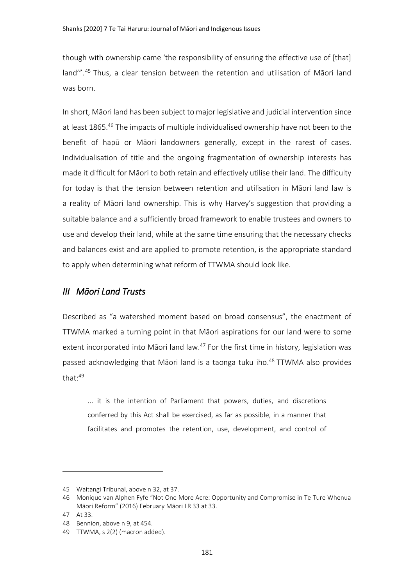though with ownership came 'the responsibility of ensuring the effective use of [that] land'".<sup>45</sup> Thus, a clear tension between the retention and utilisation of Māori land was born.

<span id="page-7-0"></span>In short, Māori land has been subject to major legislative and judicial intervention since at least 1865.<sup>46</sup> The impacts of multiple individualised ownership have not been to the benefit of hapū or Māori landowners generally, except in the rarest of cases. Individualisation of title and the ongoing fragmentation of ownership interests has made it difficult for Māori to both retain and effectively utilise their land. The difficulty for today is that the tension between retention and utilisation in Māori land law is a reality of Māori land ownership. This is why Harvey's suggestion that providing a suitable balance and a sufficiently broad framework to enable trustees and owners to use and develop their land, while at the same time ensuring that the necessary checks and balances exist and are applied to promote retention, is the appropriate standard to apply when determining what reform of TTWMA should look like.

# *III Māori Land Trusts*

Described as "a watershed moment based on broad consensus", the enactment of TTWMA marked a turning point in that Māori aspirations for our land were to some extent incorporated into Māori land law. $47$  For the first time in history, legislation was passed acknowledging that Māori land is a taonga tuku iho.<sup>48</sup> TTWMA also provides that:<sup>49</sup>

... it is the intention of Parliament that powers, duties, and discretions conferred by this Act shall be exercised, as far as possible, in a manner that facilitates and promotes the retention, use, development, and control of

<sup>45</sup> Waitangi Tribunal, above n [32,](#page-5-0) at 37.

<sup>46</sup> Monique van Alphen Fyfe "Not One More Acre: Opportunity and Compromise in Te Ture Whenua Māori Reform" (2016) February Māori LR 33 at 33.

<sup>47</sup> At 33.

<sup>48</sup> Bennion, above n [9,](#page-1-1) at 454.

<sup>49</sup> TTWMA, s 2(2) (macron added).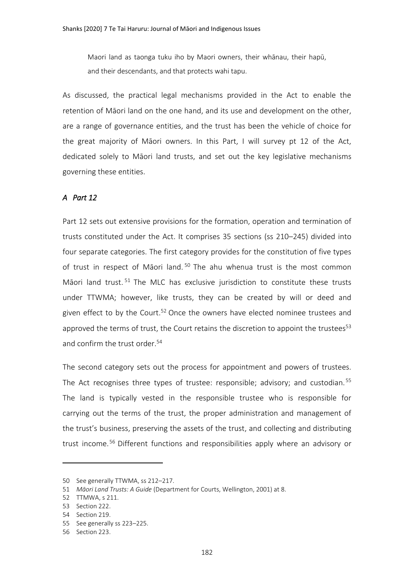Maori land as taonga tuku iho by Maori owners, their whānau, their hapū, and their descendants, and that protects wahi tapu.

As discussed, the practical legal mechanisms provided in the Act to enable the retention of Māori land on the one hand, and its use and development on the other, are a range of governance entities, and the trust has been the vehicle of choice for the great majority of Māori owners. In this Part, I will survey pt 12 of the Act, dedicated solely to Māori land trusts, and set out the key legislative mechanisms governing these entities.

### *A Part 12*

<span id="page-8-0"></span>Part 12 sets out extensive provisions for the formation, operation and termination of trusts constituted under the Act. It comprises 35 sections (ss 210–245) divided into four separate categories. The first category provides for the constitution of five types of trust in respect of Māori land.<sup>50</sup> The ahu whenua trust is the most common Māori land trust.  $51$  The MLC has exclusive jurisdiction to constitute these trusts under TTWMA; however, like trusts, they can be created by will or deed and given effect to by the Court.<sup>52</sup> Once the owners have elected nominee trustees and approved the terms of trust, the Court retains the discretion to appoint the trustees $53$ and confirm the trust order.<sup>54</sup>

The second category sets out the process for appointment and powers of trustees. The Act recognises three types of trustee: responsible; advisory; and custodian.<sup>55</sup> The land is typically vested in the responsible trustee who is responsible for carrying out the terms of the trust, the proper administration and management of the trust's business, preserving the assets of the trust, and collecting and distributing trust income.<sup>56</sup> Different functions and responsibilities apply where an advisory or

<sup>50</sup> See generally TTWMA, ss 212–217.

<sup>51</sup> *Māori Land Trusts: A Guide* (Department for Courts, Wellington, 2001) at 8.

<sup>52</sup> TTMWA, s 211.

<sup>53</sup> Section 222.

<sup>54</sup> Section 219.

<sup>55</sup> See generally ss 223–225.

<sup>56</sup> Section 223.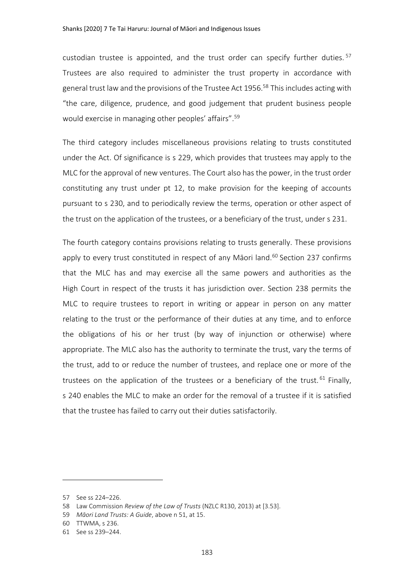custodian trustee is appointed, and the trust order can specify further duties.<sup>57</sup> Trustees are also required to administer the trust property in accordance with general trust law and the provisions of the Trustee Act 1956.<sup>58</sup> This includes acting with "the care, diligence, prudence, and good judgement that prudent business people would exercise in managing other peoples' affairs".<sup>59</sup>

The third category includes miscellaneous provisions relating to trusts constituted under the Act. Of significance is s 229, which provides that trustees may apply to the MLC for the approval of new ventures. The Court also has the power, in the trust order constituting any trust under pt 12, to make provision for the keeping of accounts pursuant to s 230, and to periodically review the terms, operation or other aspect of the trust on the application of the trustees, or a beneficiary of the trust, under s 231.

The fourth category contains provisions relating to trusts generally. These provisions apply to every trust constituted in respect of any Māori land.<sup>60</sup> Section 237 confirms that the MLC has and may exercise all the same powers and authorities as the High Court in respect of the trusts it has jurisdiction over. Section 238 permits the MLC to require trustees to report in writing or appear in person on any matter relating to the trust or the performance of their duties at any time, and to enforce the obligations of his or her trust (by way of injunction or otherwise) where appropriate. The MLC also has the authority to terminate the trust, vary the terms of the trust, add to or reduce the number of trustees, and replace one or more of the trustees on the application of the trustees or a beneficiary of the trust.  $61$  Finally, s 240 enables the MLC to make an order for the removal of a trustee if it is satisfied that the trustee has failed to carry out their duties satisfactorily.

<sup>57</sup> See ss 224–226.

<sup>58</sup> Law Commission *Review of the Law of Trusts* (NZLC R130, 2013) at [3.53].

<sup>59</sup> *Māori Land Trusts: A Guide*, above n [51,](#page-8-0) at 15.

<sup>60</sup> TTWMA, s 236.

<sup>61</sup> See ss 239–244.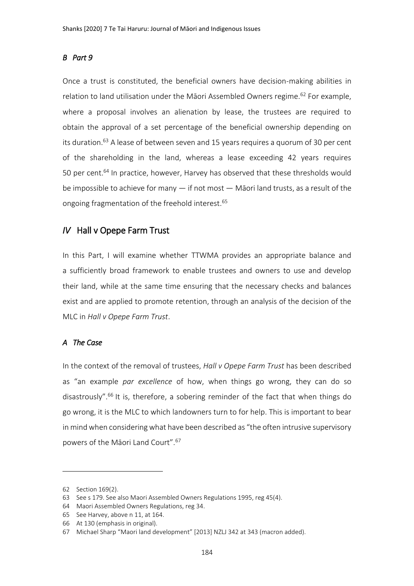#### *B Part 9*

Once a trust is constituted, the beneficial owners have decision-making abilities in relation to land utilisation under the Māori Assembled Owners regime.<sup>62</sup> For example, where a proposal involves an alienation by lease, the trustees are required to obtain the approval of a set percentage of the beneficial ownership depending on its duration.<sup>63</sup> A lease of between seven and 15 years requires a quorum of 30 per cent of the shareholding in the land, whereas a lease exceeding 42 years requires 50 per cent.<sup>64</sup> In practice, however, Harvey has observed that these thresholds would be impossible to achieve for many — if not most — Māori land trusts, as a result of the ongoing fragmentation of the freehold interest.<sup>65</sup>

# *IV* Hall v Opepe Farm Trust

In this Part, I will examine whether TTWMA provides an appropriate balance and a sufficiently broad framework to enable trustees and owners to use and develop their land, while at the same time ensuring that the necessary checks and balances exist and are applied to promote retention, through an analysis of the decision of the MLC in *Hall v Opepe Farm Trust*.

#### *A The Case*

In the context of the removal of trustees, *Hall v Opepe Farm Trust* has been described as "an example *par excellence* of how, when things go wrong, they can do so disastrously".<sup>66</sup> It is, therefore, a sobering reminder of the fact that when things do go wrong, it is the MLC to which landowners turn to for help. This is important to bear in mind when considering what have been described as "the often intrusive supervisory powers of the Māori Land Court".<sup>67</sup>

<sup>62</sup> Section 169(2).

<sup>63</sup> See s 179. See also Maori Assembled Owners Regulations 1995, reg 45(4).

<sup>64</sup> Maori Assembled Owners Regulations, reg 34.

<sup>65</sup> See Harvey, above [n 11,](#page-1-2) at 164.

<sup>66</sup> At 130 (emphasis in original).

<sup>67</sup> Michael Sharp "Maori land development" [2013] NZLJ 342 at 343 (macron added).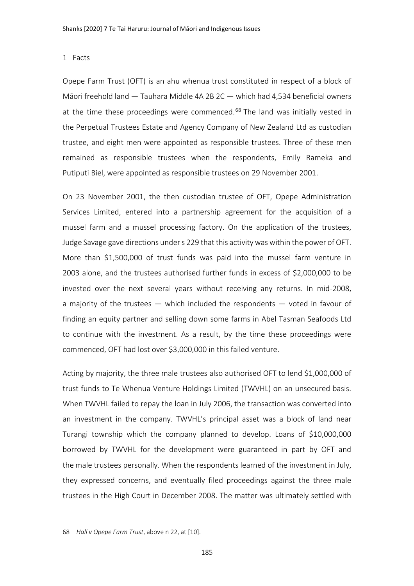#### 1 Facts

Opepe Farm Trust (OFT) is an ahu whenua trust constituted in respect of a block of Māori freehold land — Tauhara Middle 4A 2B 2C — which had 4,534 beneficial owners at the time these proceedings were commenced.<sup>68</sup> The land was initially vested in the Perpetual Trustees Estate and Agency Company of New Zealand Ltd as custodian trustee, and eight men were appointed as responsible trustees. Three of these men remained as responsible trustees when the respondents, Emily Rameka and Putiputi Biel, were appointed as responsible trustees on 29 November 2001.

On 23 November 2001, the then custodian trustee of OFT, Opepe Administration Services Limited, entered into a partnership agreement for the acquisition of a mussel farm and a mussel processing factory. On the application of the trustees, Judge Savage gave directions under s 229 that this activity was within the power of OFT. More than \$1,500,000 of trust funds was paid into the mussel farm venture in 2003 alone, and the trustees authorised further funds in excess of \$2,000,000 to be invested over the next several years without receiving any returns. In mid-2008, a majority of the trustees — which included the respondents — voted in favour of finding an equity partner and selling down some farms in Abel Tasman Seafoods Ltd to continue with the investment. As a result, by the time these proceedings were commenced, OFT had lost over \$3,000,000 in this failed venture.

Acting by majority, the three male trustees also authorised OFT to lend \$1,000,000 of trust funds to Te Whenua Venture Holdings Limited (TWVHL) on an unsecured basis. When TWVHL failed to repay the loan in July 2006, the transaction was converted into an investment in the company. TWVHL's principal asset was a block of land near Turangi township which the company planned to develop. Loans of \$10,000,000 borrowed by TWVHL for the development were guaranteed in part by OFT and the male trustees personally. When the respondents learned of the investment in July, they expressed concerns, and eventually filed proceedings against the three male trustees in the High Court in December 2008. The matter was ultimately settled with

<sup>68</sup> *Hall v Opepe Farm Trust*, above n [22,](#page-4-1) at [10].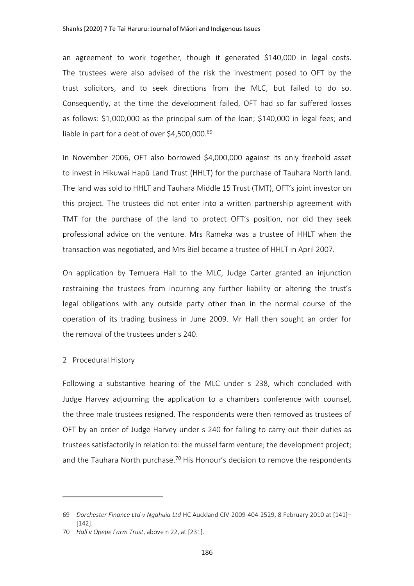an agreement to work together, though it generated \$140,000 in legal costs. The trustees were also advised of the risk the investment posed to OFT by the trust solicitors, and to seek directions from the MLC, but failed to do so. Consequently, at the time the development failed, OFT had so far suffered losses as follows: \$1,000,000 as the principal sum of the loan; \$140,000 in legal fees; and liable in part for a debt of over \$4,500,000.<sup>69</sup>

In November 2006, OFT also borrowed \$4,000,000 against its only freehold asset to invest in Hikuwai Hapū Land Trust (HHLT) for the purchase of Tauhara North land. The land was sold to HHLT and Tauhara Middle 15 Trust (TMT), OFT's joint investor on this project. The trustees did not enter into a written partnership agreement with TMT for the purchase of the land to protect OFT's position, nor did they seek professional advice on the venture. Mrs Rameka was a trustee of HHLT when the transaction was negotiated, and Mrs Biel became a trustee of HHLT in April 2007.

On application by Temuera Hall to the MLC, Judge Carter granted an injunction restraining the trustees from incurring any further liability or altering the trust's legal obligations with any outside party other than in the normal course of the operation of its trading business in June 2009. Mr Hall then sought an order for the removal of the trustees under s 240.

#### 2 Procedural History

 $\overline{a}$ 

Following a substantive hearing of the MLC under s 238, which concluded with Judge Harvey adjourning the application to a chambers conference with counsel, the three male trustees resigned. The respondents were then removed as trustees of OFT by an order of Judge Harvey under s 240 for failing to carry out their duties as trustees satisfactorily in relation to: the mussel farm venture; the development project; and the Tauhara North purchase.<sup>70</sup> His Honour's decision to remove the respondents

<sup>69</sup> *Dorchester Finance Ltd v Ngahuia Ltd* HC Auckland CIV-2009-404-2529, 8 February 2010 at [141]–  $[142]$ .

<sup>70</sup> *Hall v Opepe Farm Trust*, above n [22,](#page-4-1) at [231].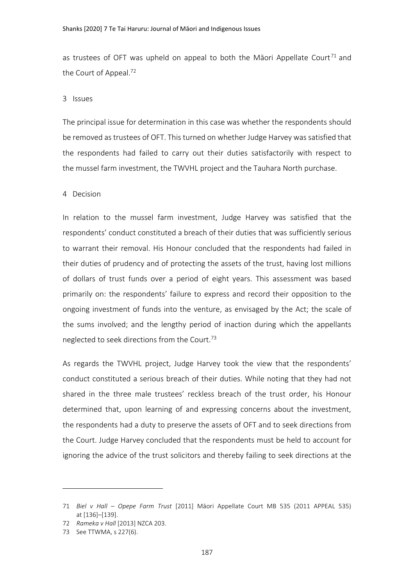as trustees of OFT was upheld on appeal to both the Māori Appellate Court<sup>71</sup> and the Court of Appeal.<sup>72</sup>

#### 3 Issues

The principal issue for determination in this case was whether the respondents should be removed as trustees of OFT. This turned on whether Judge Harvey was satisfied that the respondents had failed to carry out their duties satisfactorily with respect to the mussel farm investment, the TWVHL project and the Tauhara North purchase.

#### 4 Decision

In relation to the mussel farm investment, Judge Harvey was satisfied that the respondents' conduct constituted a breach of their duties that was sufficiently serious to warrant their removal. His Honour concluded that the respondents had failed in their duties of prudency and of protecting the assets of the trust, having lost millions of dollars of trust funds over a period of eight years. This assessment was based primarily on: the respondents' failure to express and record their opposition to the ongoing investment of funds into the venture, as envisaged by the Act; the scale of the sums involved; and the lengthy period of inaction during which the appellants neglected to seek directions from the Court.<sup>73</sup>

As regards the TWVHL project, Judge Harvey took the view that the respondents' conduct constituted a serious breach of their duties. While noting that they had not shared in the three male trustees' reckless breach of the trust order, his Honour determined that, upon learning of and expressing concerns about the investment, the respondents had a duty to preserve the assets of OFT and to seek directions from the Court. Judge Harvey concluded that the respondents must be held to account for ignoring the advice of the trust solicitors and thereby failing to seek directions at the

<sup>71</sup> *Biel v Hall – Opepe Farm Trust* [2011] Māori Appellate Court MB 535 (2011 APPEAL 535) at [136]–[139].

<sup>72</sup> *Rameka v Hall* [2013] NZCA 203.

<sup>73</sup> See TTWMA, s 227(6).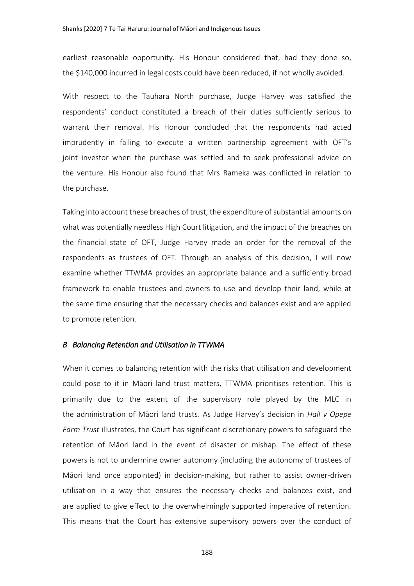earliest reasonable opportunity. His Honour considered that, had they done so, the \$140,000 incurred in legal costs could have been reduced, if not wholly avoided.

With respect to the Tauhara North purchase, Judge Harvey was satisfied the respondents' conduct constituted a breach of their duties sufficiently serious to warrant their removal. His Honour concluded that the respondents had acted imprudently in failing to execute a written partnership agreement with OFT's joint investor when the purchase was settled and to seek professional advice on the venture. His Honour also found that Mrs Rameka was conflicted in relation to the purchase.

Taking into account these breaches of trust, the expenditure of substantial amounts on what was potentially needless High Court litigation, and the impact of the breaches on the financial state of OFT, Judge Harvey made an order for the removal of the respondents as trustees of OFT. Through an analysis of this decision, I will now examine whether TTWMA provides an appropriate balance and a sufficiently broad framework to enable trustees and owners to use and develop their land, while at the same time ensuring that the necessary checks and balances exist and are applied to promote retention.

#### *B Balancing Retention and Utilisation in TTWMA*

When it comes to balancing retention with the risks that utilisation and development could pose to it in Māori land trust matters, TTWMA prioritises retention. This is primarily due to the extent of the supervisory role played by the MLC in the administration of Māori land trusts. As Judge Harvey's decision in *Hall v Opepe Farm Trust* illustrates, the Court has significant discretionary powers to safeguard the retention of Māori land in the event of disaster or mishap. The effect of these powers is not to undermine owner autonomy (including the autonomy of trustees of Māori land once appointed) in decision-making, but rather to assist owner-driven utilisation in a way that ensures the necessary checks and balances exist, and are applied to give effect to the overwhelmingly supported imperative of retention. This means that the Court has extensive supervisory powers over the conduct of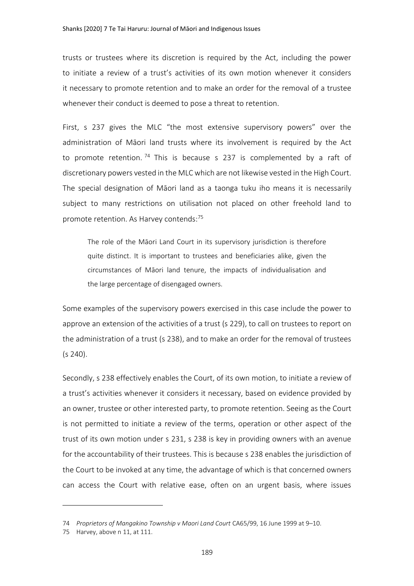trusts or trustees where its discretion is required by the Act, including the power to initiate a review of a trust's activities of its own motion whenever it considers it necessary to promote retention and to make an order for the removal of a trustee whenever their conduct is deemed to pose a threat to retention.

First, s 237 gives the MLC "the most extensive supervisory powers" over the administration of Māori land trusts where its involvement is required by the Act to promote retention.<sup>74</sup> This is because s 237 is complemented by a raft of discretionary powers vested in the MLC which are not likewise vested in the High Court. The special designation of Māori land as a taonga tuku iho means it is necessarily subject to many restrictions on utilisation not placed on other freehold land to promote retention. As Harvey contends:<sup>75</sup>

The role of the Māori Land Court in its supervisory jurisdiction is therefore quite distinct. It is important to trustees and beneficiaries alike, given the circumstances of Māori land tenure, the impacts of individualisation and the large percentage of disengaged owners.

Some examples of the supervisory powers exercised in this case include the power to approve an extension of the activities of a trust (s 229), to call on trustees to report on the administration of a trust (s 238), and to make an order for the removal of trustees (s 240).

Secondly, s 238 effectively enables the Court, of its own motion, to initiate a review of a trust's activities whenever it considers it necessary, based on evidence provided by an owner, trustee or other interested party, to promote retention. Seeing as the Court is not permitted to initiate a review of the terms, operation or other aspect of the trust of its own motion under s 231, s 238 is key in providing owners with an avenue for the accountability of their trustees. This is because s 238 enables the jurisdiction of the Court to be invoked at any time, the advantage of which is that concerned owners can access the Court with relative ease, often on an urgent basis, where issues

<sup>74</sup> *Proprietors of Mangakino Township v Maori Land Court* CA65/99, 16 June 1999 at 9–10.

<sup>75</sup> Harvey, above n [11,](#page-1-2) at 111.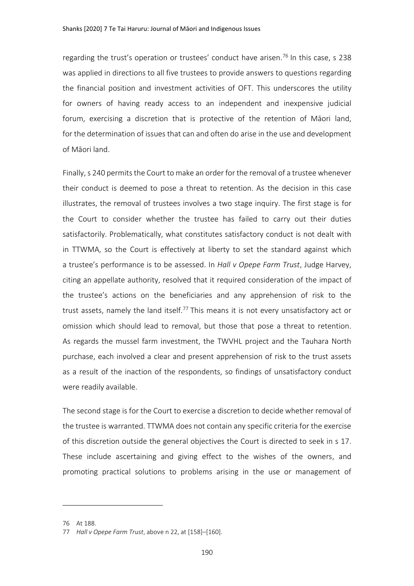regarding the trust's operation or trustees' conduct have arisen.<sup>76</sup> In this case, s 238 was applied in directions to all five trustees to provide answers to questions regarding the financial position and investment activities of OFT. This underscores the utility for owners of having ready access to an independent and inexpensive judicial forum, exercising a discretion that is protective of the retention of Māori land, for the determination of issues that can and often do arise in the use and development of Māori land.

Finally, s 240 permits the Court to make an order for the removal of a trustee whenever their conduct is deemed to pose a threat to retention. As the decision in this case illustrates, the removal of trustees involves a two stage inquiry. The first stage is for the Court to consider whether the trustee has failed to carry out their duties satisfactorily. Problematically, what constitutes satisfactory conduct is not dealt with in TTWMA, so the Court is effectively at liberty to set the standard against which a trustee's performance is to be assessed. In *Hall v Opepe Farm Trust*, Judge Harvey, citing an appellate authority, resolved that it required consideration of the impact of the trustee's actions on the beneficiaries and any apprehension of risk to the trust assets, namely the land itself.<sup>77</sup> This means it is not every unsatisfactory act or omission which should lead to removal, but those that pose a threat to retention. As regards the mussel farm investment, the TWVHL project and the Tauhara North purchase, each involved a clear and present apprehension of risk to the trust assets as a result of the inaction of the respondents, so findings of unsatisfactory conduct were readily available.

The second stage is for the Court to exercise a discretion to decide whether removal of the trustee is warranted. TTWMA does not contain any specific criteria for the exercise of this discretion outside the general objectives the Court is directed to seek in s 17. These include ascertaining and giving effect to the wishes of the owners, and promoting practical solutions to problems arising in the use or management of

<sup>76</sup> At 188.

<sup>77</sup> *Hall v Opepe Farm Trust*, above n [22,](#page-4-1) at [158]–[160].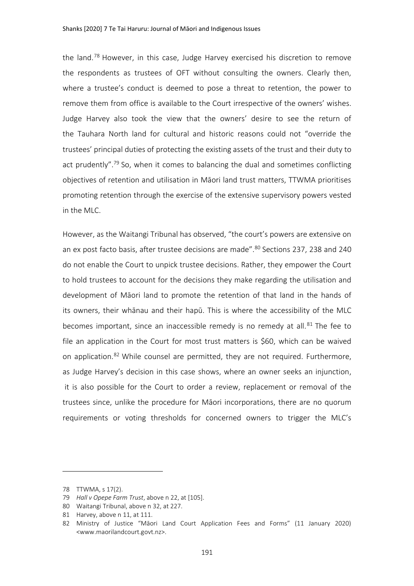the land.<sup>78</sup> However, in this case, Judge Harvey exercised his discretion to remove the respondents as trustees of OFT without consulting the owners. Clearly then, where a trustee's conduct is deemed to pose a threat to retention, the power to remove them from office is available to the Court irrespective of the owners' wishes. Judge Harvey also took the view that the owners' desire to see the return of the Tauhara North land for cultural and historic reasons could not "override the trustees' principal duties of protecting the existing assets of the trust and their duty to act prudently".<sup>79</sup> So, when it comes to balancing the dual and sometimes conflicting objectives of retention and utilisation in Māori land trust matters, TTWMA prioritises promoting retention through the exercise of the extensive supervisory powers vested in the MLC.

However, as the Waitangi Tribunal has observed, "the court's powers are extensive on an ex post facto basis, after trustee decisions are made".<sup>80</sup> Sections 237, 238 and 240 do not enable the Court to unpick trustee decisions. Rather, they empower the Court to hold trustees to account for the decisions they make regarding the utilisation and development of Māori land to promote the retention of that land in the hands of its owners, their whānau and their hapū. This is where the accessibility of the MLC becomes important, since an inaccessible remedy is no remedy at all. $81$  The fee to file an application in the Court for most trust matters is \$60, which can be waived on application.<sup>82</sup> While counsel are permitted, they are not required. Furthermore, as Judge Harvey's decision in this case shows, where an owner seeks an injunction, it is also possible for the Court to order a review, replacement or removal of the trustees since, unlike the procedure for Māori incorporations, there are no quorum requirements or voting thresholds for concerned owners to trigger the MLC's

<sup>78</sup> TTWMA, s 17(2).

<sup>79</sup> *Hall v Opepe Farm Trust*, above n [22,](#page-4-1) at [105].

<sup>80</sup> Waitangi Tribunal, above n [32,](#page-5-0) at 227.

<sup>81</sup> Harvey, above n [11,](#page-1-2) at 111.

<sup>82</sup> Ministry of Justice "Māori Land Court Application Fees and Forms" (11 January 2020) <www.maorilandcourt.govt.nz>.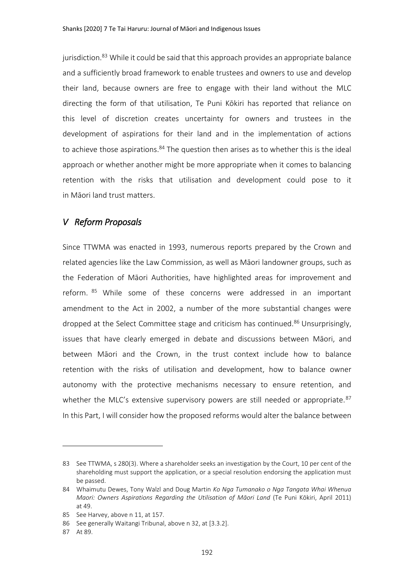jurisdiction.<sup>83</sup> While it could be said that this approach provides an appropriate balance and a sufficiently broad framework to enable trustees and owners to use and develop their land, because owners are free to engage with their land without the MLC directing the form of that utilisation, Te Puni Kōkiri has reported that reliance on this level of discretion creates uncertainty for owners and trustees in the development of aspirations for their land and in the implementation of actions to achieve those aspirations. $84$  The question then arises as to whether this is the ideal approach or whether another might be more appropriate when it comes to balancing retention with the risks that utilisation and development could pose to it in Māori land trust matters.

# *V Reform Proposals*

Since TTWMA was enacted in 1993, numerous reports prepared by the Crown and related agencies like the Law Commission, as well as Māori landowner groups, such as the Federation of Māori Authorities, have highlighted areas for improvement and reform. 85 While some of these concerns were addressed in an important amendment to the Act in 2002, a number of the more substantial changes were dropped at the Select Committee stage and criticism has continued.<sup>86</sup> Unsurprisingly, issues that have clearly emerged in debate and discussions between Māori, and between Māori and the Crown, in the trust context include how to balance retention with the risks of utilisation and development, how to balance owner autonomy with the protective mechanisms necessary to ensure retention, and whether the MLC's extensive supervisory powers are still needed or appropriate.<sup>87</sup> In this Part, I will consider how the proposed reforms would alter the balance between

<sup>83</sup> See TTWMA, s 280(3). Where a shareholder seeks an investigation by the Court, 10 per cent of the shareholding must support the application, or a special resolution endorsing the application must be passed.

<sup>84</sup> Whaimutu Dewes, Tony Walzl and Doug Martin *Ko Nga Tumanako o Nga Tangata Whai Whenua Maori: Owners Aspirations Regarding the Utilisation of Māori Land* (Te Puni Kōkiri, April 2011) at 49.

<sup>85</sup> See Harvey, above [n 11,](#page-1-2) at 157.

<sup>86</sup> See generally Waitangi Tribunal, above [n 32,](#page-5-0) at [3.3.2].

<sup>87</sup> At 89.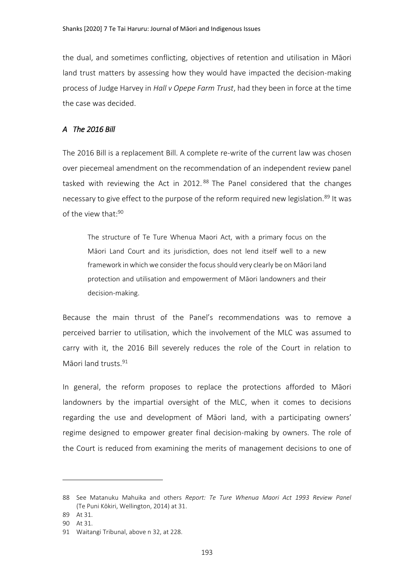the dual, and sometimes conflicting, objectives of retention and utilisation in Māori land trust matters by assessing how they would have impacted the decision-making process of Judge Harvey in *Hall v Opepe Farm Trust*, had they been in force at the time the case was decided.

#### *A The 2016 Bill*

The 2016 Bill is a replacement Bill. A complete re-write of the current law was chosen over piecemeal amendment on the recommendation of an independent review panel tasked with reviewing the Act in 2012.<sup>88</sup> The Panel considered that the changes necessary to give effect to the purpose of the reform required new legislation.<sup>89</sup> It was of the view that:<sup>90</sup>

<span id="page-19-0"></span>The structure of Te Ture Whenua Maori Act, with a primary focus on the Māori Land Court and its jurisdiction, does not lend itself well to a new framework in which we consider the focus should very clearly be on Māori land protection and utilisation and empowerment of Māori landowners and their decision-making.

Because the main thrust of the Panel's recommendations was to remove a perceived barrier to utilisation, which the involvement of the MLC was assumed to carry with it, the 2016 Bill severely reduces the role of the Court in relation to Māori land trusts. 91

In general, the reform proposes to replace the protections afforded to Māori landowners by the impartial oversight of the MLC, when it comes to decisions regarding the use and development of Māori land, with a participating owners' regime designed to empower greater final decision-making by owners. The role of the Court is reduced from examining the merits of management decisions to one of

<sup>88</sup> See Matanuku Mahuika and others *Report: Te Ture Whenua Maori Act 1993 Review Panel* (Te Puni Kōkiri, Wellington, 2014) at 31.

<sup>89</sup> At 31.

<sup>90</sup> At 31.

<sup>91</sup> Waitangi Tribunal, above n [32,](#page-5-0) at 228.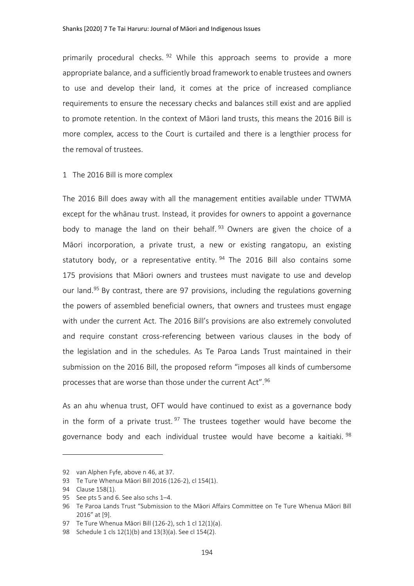primarily procedural checks. <sup>92</sup> While this approach seems to provide a more appropriate balance, and a sufficiently broad framework to enable trustees and owners to use and develop their land, it comes at the price of increased compliance requirements to ensure the necessary checks and balances still exist and are applied to promote retention. In the context of Māori land trusts, this means the 2016 Bill is more complex, access to the Court is curtailed and there is a lengthier process for the removal of trustees.

#### 1 The 2016 Bill is more complex

The 2016 Bill does away with all the management entities available under TTWMA except for the whānau trust. Instead, it provides for owners to appoint a governance body to manage the land on their behalf. <sup>93</sup> Owners are given the choice of a Māori incorporation, a private trust, a new or existing rangatopu, an existing statutory body, or a representative entity.  $94$  The 2016 Bill also contains some 175 provisions that Māori owners and trustees must navigate to use and develop our land.<sup>95</sup> By contrast, there are 97 provisions, including the regulations governing the powers of assembled beneficial owners, that owners and trustees must engage with under the current Act. The 2016 Bill's provisions are also extremely convoluted and require constant cross-referencing between various clauses in the body of the legislation and in the schedules. As Te Paroa Lands Trust maintained in their submission on the 2016 Bill, the proposed reform "imposes all kinds of cumbersome processes that are worse than those under the current Act".<sup>96</sup>

As an ahu whenua trust, OFT would have continued to exist as a governance body in the form of a private trust.  $97$  The trustees together would have become the governance body and each individual trustee would have become a kaitiaki. 98

<sup>92</sup> van Alphen Fyfe, above n [46,](#page-7-0) at 37.

<sup>93</sup> Te Ture Whenua Māori Bill 2016 (126-2), cl 154(1).

<sup>94</sup> Clause 158(1).

<sup>95</sup> See pts 5 and 6. See also schs 1–4.

<sup>96</sup> Te Paroa Lands Trust "Submission to the Māori Affairs Committee on Te Ture Whenua Māori Bill 2016" at [9].

<sup>97</sup> Te Ture Whenua Māori Bill (126-2), sch 1 cl 12(1)(a).

<sup>98</sup> Schedule 1 cls 12(1)(b) and 13(3)(a). See cl 154(2).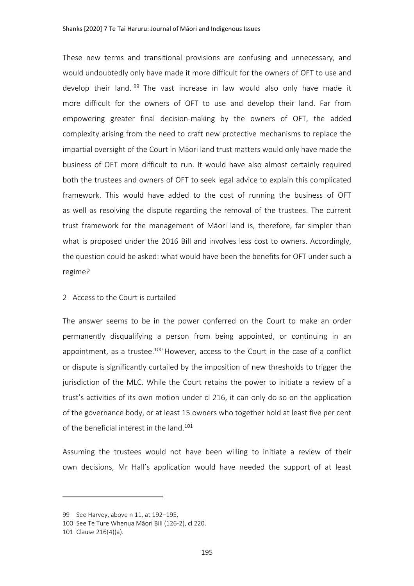These new terms and transitional provisions are confusing and unnecessary, and would undoubtedly only have made it more difficult for the owners of OFT to use and develop their land. <sup>99</sup> The vast increase in law would also only have made it more difficult for the owners of OFT to use and develop their land. Far from empowering greater final decision-making by the owners of OFT, the added complexity arising from the need to craft new protective mechanisms to replace the impartial oversight of the Court in Māori land trust matters would only have made the business of OFT more difficult to run. It would have also almost certainly required both the trustees and owners of OFT to seek legal advice to explain this complicated framework. This would have added to the cost of running the business of OFT as well as resolving the dispute regarding the removal of the trustees. The current trust framework for the management of Māori land is, therefore, far simpler than what is proposed under the 2016 Bill and involves less cost to owners. Accordingly, the question could be asked: what would have been the benefits for OFT under such a regime?

#### 2 Access to the Court is curtailed

The answer seems to be in the power conferred on the Court to make an order permanently disqualifying a person from being appointed, or continuing in an appointment, as a trustee.<sup>100</sup> However, access to the Court in the case of a conflict or dispute is significantly curtailed by the imposition of new thresholds to trigger the jurisdiction of the MLC. While the Court retains the power to initiate a review of a trust's activities of its own motion under cl 216, it can only do so on the application of the governance body, or at least 15 owners who together hold at least five per cent of the beneficial interest in the land.<sup>101</sup>

Assuming the trustees would not have been willing to initiate a review of their own decisions, Mr Hall's application would have needed the support of at least

<sup>99</sup> See Harvey, above [n 11,](#page-1-2) at 192–195.

<sup>100</sup> See Te Ture Whenua Māori Bill (126-2), cl 220.

<sup>101</sup> Clause 216(4)(a).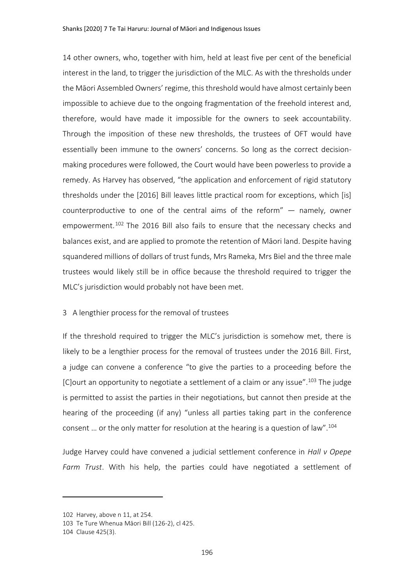14 other owners, who, together with him, held at least five per cent of the beneficial interest in the land, to trigger the jurisdiction of the MLC. As with the thresholds under the Māori Assembled Owners' regime, this threshold would have almost certainly been impossible to achieve due to the ongoing fragmentation of the freehold interest and, therefore, would have made it impossible for the owners to seek accountability. Through the imposition of these new thresholds, the trustees of OFT would have essentially been immune to the owners' concerns. So long as the correct decisionmaking procedures were followed, the Court would have been powerless to provide a remedy. As Harvey has observed, "the application and enforcement of rigid statutory thresholds under the [2016] Bill leaves little practical room for exceptions, which [is] counterproductive to one of the central aims of the reform" — namely, owner empowerment.<sup>102</sup> The 2016 Bill also fails to ensure that the necessary checks and balances exist, and are applied to promote the retention of Māori land. Despite having squandered millions of dollars of trust funds, Mrs Rameka, Mrs Biel and the three male trustees would likely still be in office because the threshold required to trigger the MLC's jurisdiction would probably not have been met.

#### 3 A lengthier process for the removal of trustees

If the threshold required to trigger the MLC's jurisdiction is somehow met, there is likely to be a lengthier process for the removal of trustees under the 2016 Bill. First, a judge can convene a conference "to give the parties to a proceeding before the [C]ourt an opportunity to negotiate a settlement of a claim or any issue".<sup>103</sup> The judge is permitted to assist the parties in their negotiations, but cannot then preside at the hearing of the proceeding (if any) "unless all parties taking part in the conference consent … or the only matter for resolution at the hearing is a question of law".<sup>104</sup>

Judge Harvey could have convened a judicial settlement conference in *Hall v Opepe Farm Trust*. With his help, the parties could have negotiated a settlement of

<sup>102</sup> Harvey, above n [11,](#page-1-2) at 254.

<sup>103</sup> Te Ture Whenua Māori Bill (126-2), cl 425.

<sup>104</sup> Clause 425(3).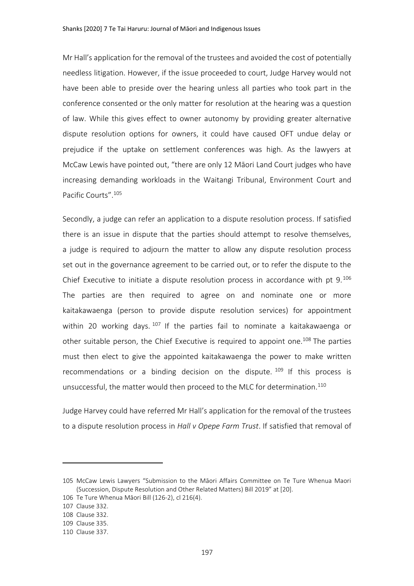Mr Hall's application for the removal of the trustees and avoided the cost of potentially needless litigation. However, if the issue proceeded to court, Judge Harvey would not have been able to preside over the hearing unless all parties who took part in the conference consented or the only matter for resolution at the hearing was a question of law. While this gives effect to owner autonomy by providing greater alternative dispute resolution options for owners, it could have caused OFT undue delay or prejudice if the uptake on settlement conferences was high. As the lawyers at McCaw Lewis have pointed out, "there are only 12 Māori Land Court judges who have increasing demanding workloads in the Waitangi Tribunal, Environment Court and Pacific Courts".<sup>105</sup>

<span id="page-23-0"></span>Secondly, a judge can refer an application to a dispute resolution process. If satisfied there is an issue in dispute that the parties should attempt to resolve themselves, a judge is required to adjourn the matter to allow any dispute resolution process set out in the governance agreement to be carried out, or to refer the dispute to the Chief Executive to initiate a dispute resolution process in accordance with pt 9.<sup>106</sup> The parties are then required to agree on and nominate one or more kaitakawaenga (person to provide dispute resolution services) for appointment within 20 working days.  $107$  If the parties fail to nominate a kaitakawaenga or other suitable person, the Chief Executive is required to appoint one.<sup>108</sup> The parties must then elect to give the appointed kaitakawaenga the power to make written recommendations or a binding decision on the dispute.  $109$  If this process is unsuccessful, the matter would then proceed to the MLC for determination.<sup>110</sup>

Judge Harvey could have referred Mr Hall's application for the removal of the trustees to a dispute resolution process in *Hall v Opepe Farm Trust*. If satisfied that removal of

<sup>105</sup> McCaw Lewis Lawyers "Submission to the Māori Affairs Committee on Te Ture Whenua Maori (Succession, Dispute Resolution and Other Related Matters) Bill 2019" at [20].

<sup>106</sup> Te Ture Whenua Māori Bill (126-2), cl 216(4).

<sup>107</sup> Clause 332.

<sup>108</sup> Clause 332.

<sup>109</sup> Clause 335.

<sup>110</sup> Clause 337.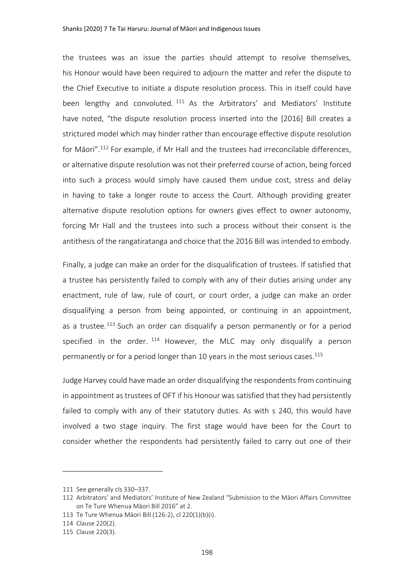the trustees was an issue the parties should attempt to resolve themselves, his Honour would have been required to adjourn the matter and refer the dispute to the Chief Executive to initiate a dispute resolution process. This in itself could have been lengthy and convoluted. <sup>111</sup> As the Arbitrators' and Mediators' Institute have noted, "the dispute resolution process inserted into the [2016] Bill creates a strictured model which may hinder rather than encourage effective dispute resolution for Māori".<sup>112</sup> For example, if Mr Hall and the trustees had irreconcilable differences, or alternative dispute resolution was not their preferred course of action, being forced into such a process would simply have caused them undue cost, stress and delay in having to take a longer route to access the Court. Although providing greater alternative dispute resolution options for owners gives effect to owner autonomy, forcing Mr Hall and the trustees into such a process without their consent is the antithesis of the rangatiratanga and choice that the 2016 Bill was intended to embody.

Finally, a judge can make an order for the disqualification of trustees. If satisfied that a trustee has persistently failed to comply with any of their duties arising under any enactment, rule of law, rule of court, or court order, a judge can make an order disqualifying a person from being appointed, or continuing in an appointment, as a trustee.<sup>113</sup> Such an order can disqualify a person permanently or for a period specified in the order.  $114$  However, the MLC may only disqualify a person permanently or for a period longer than 10 years in the most serious cases.<sup>115</sup>

Judge Harvey could have made an order disqualifying the respondents from continuing in appointment as trustees of OFT if his Honour was satisfied that they had persistently failed to comply with any of their statutory duties. As with s 240, this would have involved a two stage inquiry. The first stage would have been for the Court to consider whether the respondents had persistently failed to carry out one of their

<sup>111</sup> See generally cls 330–337.

<sup>112</sup> Arbitrators' and Mediators' Institute of New Zealand "Submission to the Māori Affairs Committee on Te Ture Whenua Māori Bill 2016" at 2.

<sup>113</sup> Te Ture Whenua Māori Bill (126-2), cl 220(1)(b)(i).

<sup>114</sup> Clause 220(2).

<sup>115</sup> Clause 220(3).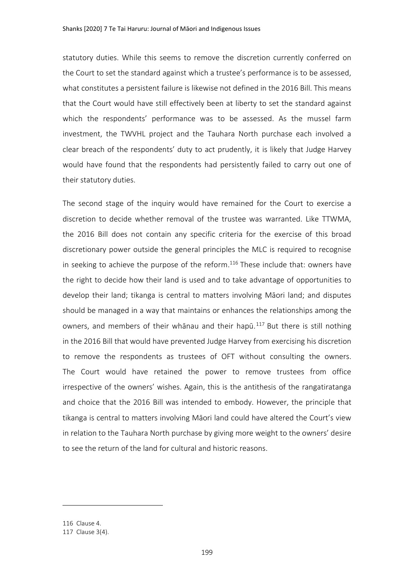statutory duties. While this seems to remove the discretion currently conferred on the Court to set the standard against which a trustee's performance is to be assessed, what constitutes a persistent failure is likewise not defined in the 2016 Bill. This means that the Court would have still effectively been at liberty to set the standard against which the respondents' performance was to be assessed. As the mussel farm investment, the TWVHL project and the Tauhara North purchase each involved a clear breach of the respondents' duty to act prudently, it is likely that Judge Harvey would have found that the respondents had persistently failed to carry out one of their statutory duties.

The second stage of the inquiry would have remained for the Court to exercise a discretion to decide whether removal of the trustee was warranted. Like TTWMA, the 2016 Bill does not contain any specific criteria for the exercise of this broad discretionary power outside the general principles the MLC is required to recognise in seeking to achieve the purpose of the reform. $116$  These include that: owners have the right to decide how their land is used and to take advantage of opportunities to develop their land; tikanga is central to matters involving Māori land; and disputes should be managed in a way that maintains or enhances the relationships among the owners, and members of their whānau and their hapū.<sup>117</sup> But there is still nothing in the 2016 Bill that would have prevented Judge Harvey from exercising his discretion to remove the respondents as trustees of OFT without consulting the owners. The Court would have retained the power to remove trustees from office irrespective of the owners' wishes. Again, this is the antithesis of the rangatiratanga and choice that the 2016 Bill was intended to embody. However, the principle that tikanga is central to matters involving Māori land could have altered the Court's view in relation to the Tauhara North purchase by giving more weight to the owners' desire to see the return of the land for cultural and historic reasons.

<sup>116</sup> Clause 4.

<sup>117</sup> Clause 3(4).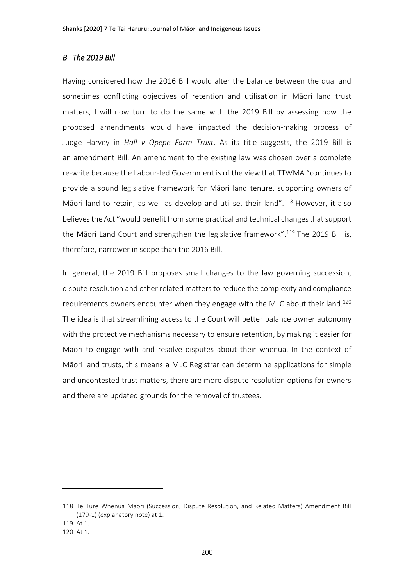#### *B The 2019 Bill*

Having considered how the 2016 Bill would alter the balance between the dual and sometimes conflicting objectives of retention and utilisation in Māori land trust matters, I will now turn to do the same with the 2019 Bill by assessing how the proposed amendments would have impacted the decision-making process of Judge Harvey in *Hall v Opepe Farm Trust*. As its title suggests, the 2019 Bill is an amendment Bill. An amendment to the existing law was chosen over a complete re-write because the Labour-led Government is of the view that TTWMA "continues to provide a sound legislative framework for Māori land tenure, supporting owners of Māori land to retain, as well as develop and utilise, their land".<sup>118</sup> However, it also believes the Act "would benefit from some practical and technical changes that support the Māori Land Court and strengthen the legislative framework".<sup>119</sup> The 2019 Bill is, therefore, narrower in scope than the 2016 Bill.

In general, the 2019 Bill proposes small changes to the law governing succession, dispute resolution and other related matters to reduce the complexity and compliance requirements owners encounter when they engage with the MLC about their land.<sup>120</sup> The idea is that streamlining access to the Court will better balance owner autonomy with the protective mechanisms necessary to ensure retention, by making it easier for Māori to engage with and resolve disputes about their whenua. In the context of Māori land trusts, this means a MLC Registrar can determine applications for simple and uncontested trust matters, there are more dispute resolution options for owners and there are updated grounds for the removal of trustees.

<sup>118</sup> Te Ture Whenua Maori (Succession, Dispute Resolution, and Related Matters) Amendment Bill (179-1) (explanatory note) at 1.

<sup>119</sup> At 1.

<sup>120</sup> At 1.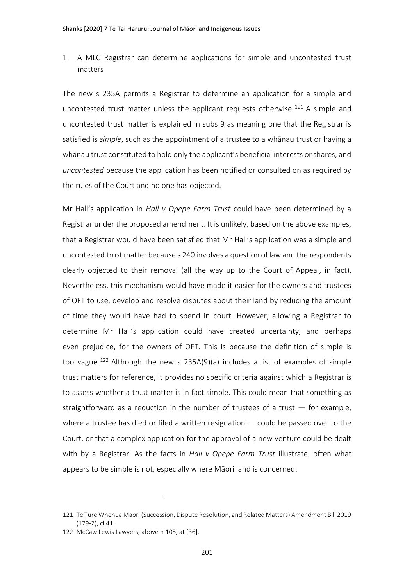1 A MLC Registrar can determine applications for simple and uncontested trust matters

The new s 235A permits a Registrar to determine an application for a simple and uncontested trust matter unless the applicant requests otherwise.<sup>121</sup> A simple and uncontested trust matter is explained in subs 9 as meaning one that the Registrar is satisfied is *simple*, such as the appointment of a trustee to a whānau trust or having a whānau trust constituted to hold only the applicant's beneficial interests or shares, and *uncontested* because the application has been notified or consulted on as required by the rules of the Court and no one has objected.

Mr Hall's application in *Hall v Opepe Farm Trust* could have been determined by a Registrar under the proposed amendment. It is unlikely, based on the above examples, that a Registrar would have been satisfied that Mr Hall's application was a simple and uncontested trust matter because s 240 involves a question of law and the respondents clearly objected to their removal (all the way up to the Court of Appeal, in fact). Nevertheless, this mechanism would have made it easier for the owners and trustees of OFT to use, develop and resolve disputes about their land by reducing the amount of time they would have had to spend in court. However, allowing a Registrar to determine Mr Hall's application could have created uncertainty, and perhaps even prejudice, for the owners of OFT. This is because the definition of simple is too vague.<sup>122</sup> Although the new s 235A(9)(a) includes a list of examples of simple trust matters for reference, it provides no specific criteria against which a Registrar is to assess whether a trust matter is in fact simple. This could mean that something as straightforward as a reduction in the number of trustees of a trust  $-$  for example, where a trustee has died or filed a written resignation — could be passed over to the Court, or that a complex application for the approval of a new venture could be dealt with by a Registrar. As the facts in *Hall v Opepe Farm Trust* illustrate, often what appears to be simple is not, especially where Māori land is concerned.

<sup>121</sup> Te Ture Whenua Maori (Succession, Dispute Resolution, and Related Matters) Amendment Bill 2019 (179-2), cl 41.

<sup>122</sup> McCaw Lewis Lawyers, above n [105,](#page-23-0) at [36].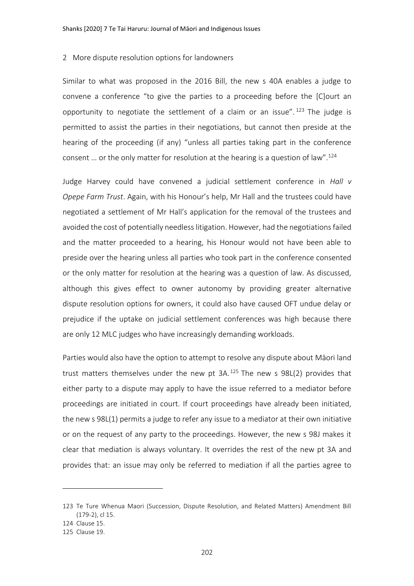#### 2 More dispute resolution options for landowners

Similar to what was proposed in the 2016 Bill, the new s 40A enables a judge to convene a conference "to give the parties to a proceeding before the [C]ourt an opportunity to negotiate the settlement of a claim or an issue".  $123$  The judge is permitted to assist the parties in their negotiations, but cannot then preside at the hearing of the proceeding (if any) "unless all parties taking part in the conference consent ... or the only matter for resolution at the hearing is a question of law".<sup>124</sup>

Judge Harvey could have convened a judicial settlement conference in *Hall v Opepe Farm Trust*. Again, with his Honour's help, Mr Hall and the trustees could have negotiated a settlement of Mr Hall's application for the removal of the trustees and avoided the cost of potentially needless litigation. However, had the negotiations failed and the matter proceeded to a hearing, his Honour would not have been able to preside over the hearing unless all parties who took part in the conference consented or the only matter for resolution at the hearing was a question of law. As discussed, although this gives effect to owner autonomy by providing greater alternative dispute resolution options for owners, it could also have caused OFT undue delay or prejudice if the uptake on judicial settlement conferences was high because there are only 12 MLC judges who have increasingly demanding workloads.

Parties would also have the option to attempt to resolve any dispute about Māori land trust matters themselves under the new pt  $3A.125$  The new s  $98L(2)$  provides that either party to a dispute may apply to have the issue referred to a mediator before proceedings are initiated in court. If court proceedings have already been initiated, the new s 98L(1) permits a judge to refer any issue to a mediator at their own initiative or on the request of any party to the proceedings. However, the new s 98J makes it clear that mediation is always voluntary. It overrides the rest of the new pt 3A and provides that: an issue may only be referred to mediation if all the parties agree to

<sup>123</sup> Te Ture Whenua Maori (Succession, Dispute Resolution, and Related Matters) Amendment Bill (179-2), cl 15.

<sup>124</sup> Clause 15.

<sup>125</sup> Clause 19.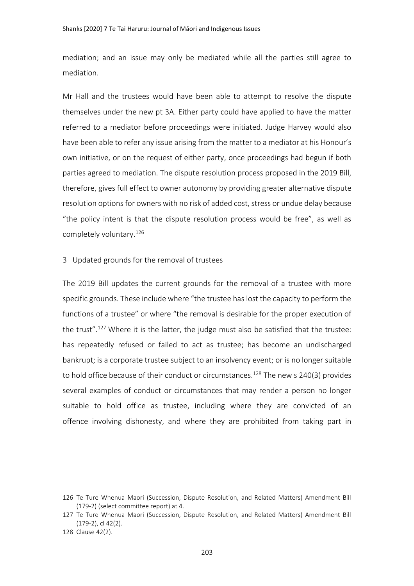mediation; and an issue may only be mediated while all the parties still agree to mediation.

Mr Hall and the trustees would have been able to attempt to resolve the dispute themselves under the new pt 3A. Either party could have applied to have the matter referred to a mediator before proceedings were initiated. Judge Harvey would also have been able to refer any issue arising from the matter to a mediator at his Honour's own initiative, or on the request of either party, once proceedings had begun if both parties agreed to mediation. The dispute resolution process proposed in the 2019 Bill, therefore, gives full effect to owner autonomy by providing greater alternative dispute resolution options for owners with no risk of added cost, stress or undue delay because "the policy intent is that the dispute resolution process would be free", as well as completely voluntary.<sup>126</sup>

#### 3 Updated grounds for the removal of trustees

The 2019 Bill updates the current grounds for the removal of a trustee with more specific grounds. These include where "the trustee has lost the capacity to perform the functions of a trustee" or where "the removal is desirable for the proper execution of the trust".<sup>127</sup> Where it is the latter, the judge must also be satisfied that the trustee: has repeatedly refused or failed to act as trustee; has become an undischarged bankrupt; is a corporate trustee subject to an insolvency event; or is no longer suitable to hold office because of their conduct or circumstances.<sup>128</sup> The new s 240(3) provides several examples of conduct or circumstances that may render a person no longer suitable to hold office as trustee, including where they are convicted of an offence involving dishonesty, and where they are prohibited from taking part in

<sup>126</sup> Te Ture Whenua Maori (Succession, Dispute Resolution, and Related Matters) Amendment Bill (179-2) (select committee report) at 4.

<sup>127</sup> Te Ture Whenua Maori (Succession, Dispute Resolution, and Related Matters) Amendment Bill (179-2), cl 42(2).

<sup>128</sup> Clause 42(2).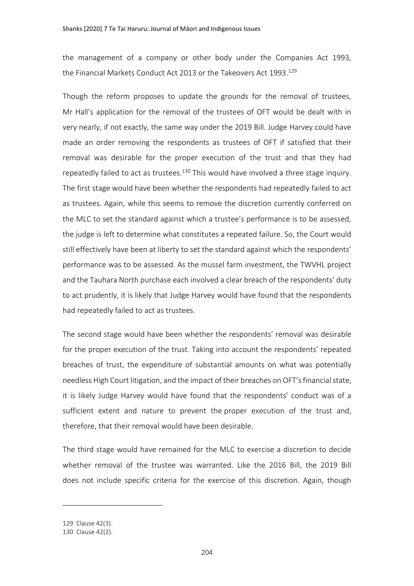the management of a company or other body under the Companies Act 1993, the Financial Markets Conduct Act 2013 or the Takeovers Act 1993.<sup>129</sup>

Though the reform proposes to update the grounds for the removal of trustees, Mr Hall's application for the removal of the trustees of OFT would be dealt with in very nearly, if not exactly, the same way under the 2019 Bill. Judge Harvey could have made an order removing the respondents as trustees of OFT if satisfied that their removal was desirable for the proper execution of the trust and that they had repeatedly failed to act as trustees.<sup>130</sup> This would have involved a three stage inquiry. The first stage would have been whether the respondents had repeatedly failed to act as trustees. Again, while this seems to remove the discretion currently conferred on the MLC to set the standard against which a trustee's performance is to be assessed, the judge is left to determine what constitutes a repeated failure. So, the Court would still effectively have been at liberty to set the standard against which the respondents' performance was to be assessed. As the mussel farm investment, the TWVHL project and the Tauhara North purchase each involved a clear breach of the respondents' duty to act prudently, it is likely that Judge Harvey would have found that the respondents had repeatedly failed to act as trustees.

The second stage would have been whether the respondents' removal was desirable for the proper execution of the trust. Taking into account the respondents' repeated breaches of trust, the expenditure of substantial amounts on what was potentially needless High Court litigation, and the impact of their breaches on OFT'sfinancial state, it is likely Judge Harvey would have found that the respondents' conduct was of a sufficient extent and nature to prevent the proper execution of the trust and, therefore, that their removal would have been desirable.

The third stage would have remained for the MLC to exercise a discretion to decide whether removal of the trustee was warranted. Like the 2016 Bill, the 2019 Bill does not include specific criteria for the exercise of this discretion. Again, though

<sup>129</sup> Clause 42(3).

<sup>130</sup> Clause 42(2).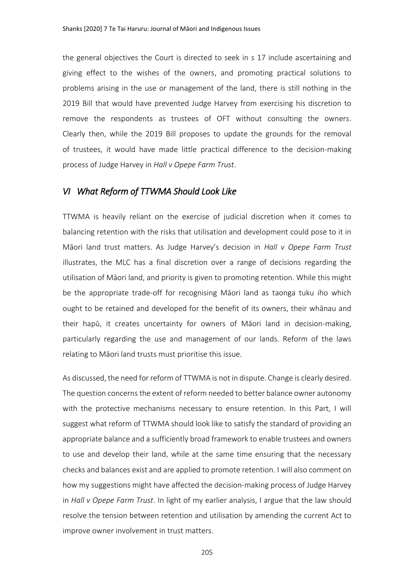the general objectives the Court is directed to seek in s 17 include ascertaining and giving effect to the wishes of the owners, and promoting practical solutions to problems arising in the use or management of the land, there is still nothing in the 2019 Bill that would have prevented Judge Harvey from exercising his discretion to remove the respondents as trustees of OFT without consulting the owners. Clearly then, while the 2019 Bill proposes to update the grounds for the removal of trustees, it would have made little practical difference to the decision-making process of Judge Harvey in *Hall v Opepe Farm Trust*.

# *VI What Reform of TTWMA Should Look Like*

TTWMA is heavily reliant on the exercise of judicial discretion when it comes to balancing retention with the risks that utilisation and development could pose to it in Māori land trust matters. As Judge Harvey's decision in *Hall v Opepe Farm Trust*  illustrates, the MLC has a final discretion over a range of decisions regarding the utilisation of Māori land, and priority is given to promoting retention. While this might be the appropriate trade-off for recognising Māori land as taonga tuku iho which ought to be retained and developed for the benefit of its owners, their whānau and their hapū, it creates uncertainty for owners of Māori land in decision-making, particularly regarding the use and management of our lands. Reform of the laws relating to Māori land trusts must prioritise this issue.

As discussed, the need for reform of TTWMA is not in dispute. Change is clearly desired. The question concerns the extent of reform needed to better balance owner autonomy with the protective mechanisms necessary to ensure retention. In this Part, I will suggest what reform of TTWMA should look like to satisfy the standard of providing an appropriate balance and a sufficiently broad framework to enable trustees and owners to use and develop their land, while at the same time ensuring that the necessary checks and balances exist and are applied to promote retention. I will also comment on how my suggestions might have affected the decision-making process of Judge Harvey in *Hall v Opepe Farm Trust*. In light of my earlier analysis, I argue that the law should resolve the tension between retention and utilisation by amending the current Act to improve owner involvement in trust matters.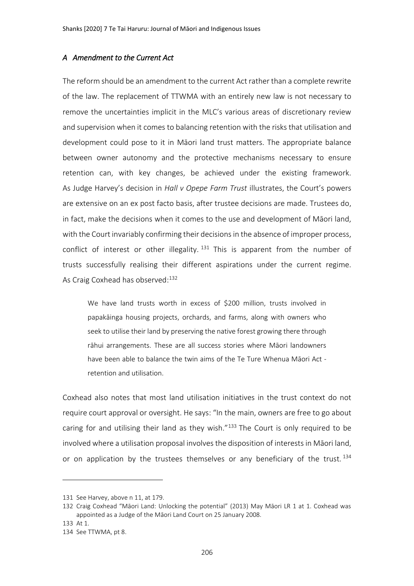#### *A Amendment to the Current Act*

The reform should be an amendment to the current Act rather than a complete rewrite of the law. The replacement of TTWMA with an entirely new law is not necessary to remove the uncertainties implicit in the MLC's various areas of discretionary review and supervision when it comes to balancing retention with the risks that utilisation and development could pose to it in Māori land trust matters. The appropriate balance between owner autonomy and the protective mechanisms necessary to ensure retention can, with key changes, be achieved under the existing framework. As Judge Harvey's decision in *Hall v Opepe Farm Trust* illustrates, the Court's powers are extensive on an ex post facto basis, after trustee decisions are made. Trustees do, in fact, make the decisions when it comes to the use and development of Māori land, with the Court invariably confirming their decisions in the absence of improper process, conflict of interest or other illegality.  $131$  This is apparent from the number of trusts successfully realising their different aspirations under the current regime. As Craig Coxhead has observed:<sup>132</sup>

We have land trusts worth in excess of \$200 million, trusts involved in papakāinga housing projects, orchards, and farms, along with owners who seek to utilise their land by preserving the native forest growing there through rāhui arrangements. These are all success stories where Māori landowners have been able to balance the twin aims of the Te Ture Whenua Māori Act retention and utilisation.

Coxhead also notes that most land utilisation initiatives in the trust context do not require court approval or oversight. He says: "In the main, owners are free to go about caring for and utilising their land as they wish."<sup>133</sup> The Court is only required to be involved where a utilisation proposal involves the disposition of interests in Māori land, or on application by the trustees themselves or any beneficiary of the trust.<sup>134</sup>

<sup>131</sup> See Harvey, above [n 11,](#page-1-2) at 179.

<sup>132</sup> Craig Coxhead "Māori Land: Unlocking the potential" (2013) May Māori LR 1 at 1. Coxhead was appointed as a Judge of the Māori Land Court on 25 January 2008.

<sup>133</sup> At 1.

<sup>134</sup> See TTWMA, pt 8.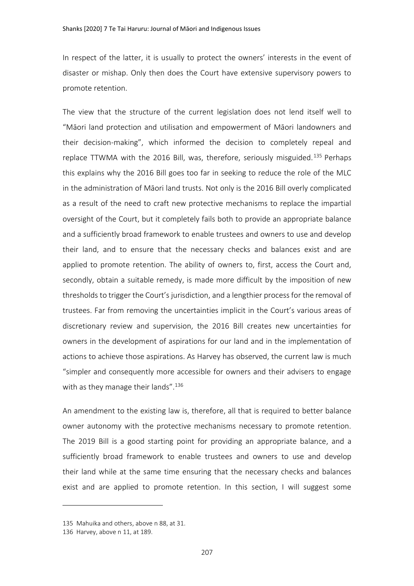In respect of the latter, it is usually to protect the owners' interests in the event of disaster or mishap. Only then does the Court have extensive supervisory powers to promote retention.

The view that the structure of the current legislation does not lend itself well to "Māori land protection and utilisation and empowerment of Māori landowners and their decision-making", which informed the decision to completely repeal and replace TTWMA with the 2016 Bill, was, therefore, seriously misguided.<sup>135</sup> Perhaps this explains why the 2016 Bill goes too far in seeking to reduce the role of the MLC in the administration of Māori land trusts. Not only is the 2016 Bill overly complicated as a result of the need to craft new protective mechanisms to replace the impartial oversight of the Court, but it completely fails both to provide an appropriate balance and a sufficiently broad framework to enable trustees and owners to use and develop their land, and to ensure that the necessary checks and balances exist and are applied to promote retention. The ability of owners to, first, access the Court and, secondly, obtain a suitable remedy, is made more difficult by the imposition of new thresholds to trigger the Court's jurisdiction, and a lengthier process for the removal of trustees. Far from removing the uncertainties implicit in the Court's various areas of discretionary review and supervision, the 2016 Bill creates new uncertainties for owners in the development of aspirations for our land and in the implementation of actions to achieve those aspirations. As Harvey has observed, the current law is much "simpler and consequently more accessible for owners and their advisers to engage with as they manage their lands".<sup>136</sup>

An amendment to the existing law is, therefore, all that is required to better balance owner autonomy with the protective mechanisms necessary to promote retention. The 2019 Bill is a good starting point for providing an appropriate balance, and a sufficiently broad framework to enable trustees and owners to use and develop their land while at the same time ensuring that the necessary checks and balances exist and are applied to promote retention. In this section, I will suggest some

<sup>135</sup> Mahuika and others, above n [88,](#page-19-0) at 31.

<sup>136</sup> Harvey, above n [11,](#page-1-2) at 189.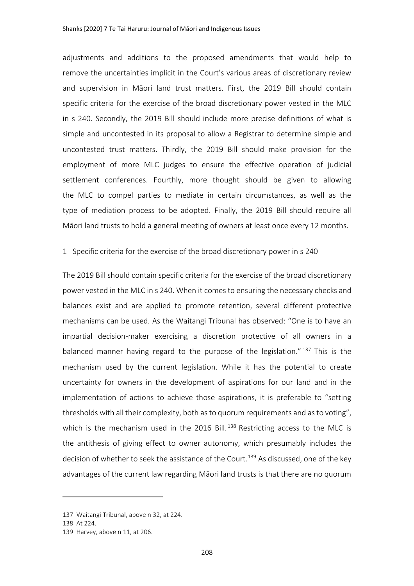adjustments and additions to the proposed amendments that would help to remove the uncertainties implicit in the Court's various areas of discretionary review and supervision in Māori land trust matters. First, the 2019 Bill should contain specific criteria for the exercise of the broad discretionary power vested in the MLC in s 240. Secondly, the 2019 Bill should include more precise definitions of what is simple and uncontested in its proposal to allow a Registrar to determine simple and uncontested trust matters. Thirdly, the 2019 Bill should make provision for the employment of more MLC judges to ensure the effective operation of judicial settlement conferences. Fourthly, more thought should be given to allowing the MLC to compel parties to mediate in certain circumstances, as well as the type of mediation process to be adopted. Finally, the 2019 Bill should require all Māori land trusts to hold a general meeting of owners at least once every 12 months.

#### 1 Specific criteria for the exercise of the broad discretionary power in s 240

The 2019 Bill should contain specific criteria for the exercise of the broad discretionary power vested in the MLC in s 240. When it comes to ensuring the necessary checks and balances exist and are applied to promote retention, several different protective mechanisms can be used. As the Waitangi Tribunal has observed: "One is to have an impartial decision-maker exercising a discretion protective of all owners in a balanced manner having regard to the purpose of the legislation." <sup>137</sup> This is the mechanism used by the current legislation. While it has the potential to create uncertainty for owners in the development of aspirations for our land and in the implementation of actions to achieve those aspirations, it is preferable to "setting thresholds with all their complexity, both as to quorum requirements and as to voting", which is the mechanism used in the 2016 Bill.<sup>138</sup> Restricting access to the MLC is the antithesis of giving effect to owner autonomy, which presumably includes the decision of whether to seek the assistance of the Court.<sup>139</sup> As discussed, one of the key advantages of the current law regarding Māori land trusts is that there are no quorum

<sup>137</sup> Waitangi Tribunal, above n [32,](#page-5-0) at 224.

<sup>138</sup> At 224.

<sup>139</sup> Harvey, above n [11,](#page-1-2) at 206.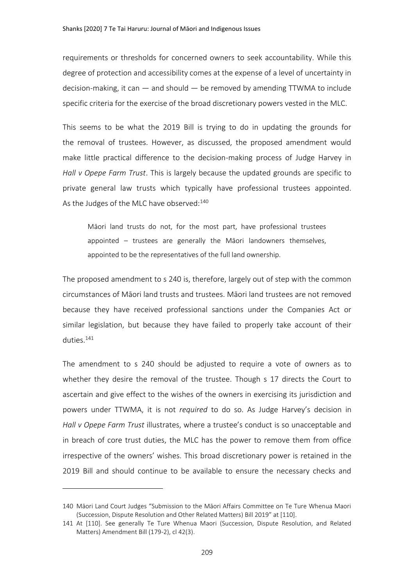requirements or thresholds for concerned owners to seek accountability. While this degree of protection and accessibility comes at the expense of a level of uncertainty in decision-making, it can — and should — be removed by amending TTWMA to include specific criteria for the exercise of the broad discretionary powers vested in the MLC.

This seems to be what the 2019 Bill is trying to do in updating the grounds for the removal of trustees. However, as discussed, the proposed amendment would make little practical difference to the decision-making process of Judge Harvey in *Hall v Opepe Farm Trust*. This is largely because the updated grounds are specific to private general law trusts which typically have professional trustees appointed. As the Judges of the MLC have observed:<sup>140</sup>

<span id="page-35-0"></span>Māori land trusts do not, for the most part, have professional trustees appointed – trustees are generally the Māori landowners themselves, appointed to be the representatives of the full land ownership.

The proposed amendment to s 240 is, therefore, largely out of step with the common circumstances of Māori land trusts and trustees. Māori land trustees are not removed because they have received professional sanctions under the Companies Act or similar legislation, but because they have failed to properly take account of their duties.<sup>141</sup>

The amendment to s 240 should be adjusted to require a vote of owners as to whether they desire the removal of the trustee. Though s 17 directs the Court to ascertain and give effect to the wishes of the owners in exercising its jurisdiction and powers under TTWMA, it is not *required* to do so. As Judge Harvey's decision in *Hall v Opepe Farm Trust* illustrates, where a trustee's conduct is so unacceptable and in breach of core trust duties, the MLC has the power to remove them from office irrespective of the owners' wishes. This broad discretionary power is retained in the 2019 Bill and should continue to be available to ensure the necessary checks and

<sup>140</sup> Māori Land Court Judges "Submission to the Māori Affairs Committee on Te Ture Whenua Maori (Succession, Dispute Resolution and Other Related Matters) Bill 2019" at [110].

<sup>141</sup> At [110]. See generally Te Ture Whenua Maori (Succession, Dispute Resolution, and Related Matters) Amendment Bill (179-2), cl 42(3).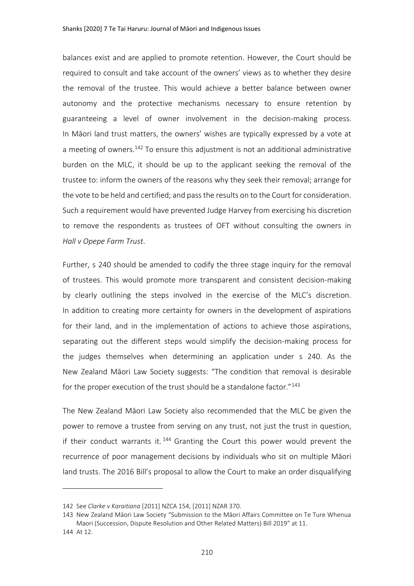balances exist and are applied to promote retention. However, the Court should be required to consult and take account of the owners' views as to whether they desire the removal of the trustee. This would achieve a better balance between owner autonomy and the protective mechanisms necessary to ensure retention by guaranteeing a level of owner involvement in the decision-making process. In Māori land trust matters, the owners' wishes are typically expressed by a vote at a meeting of owners.<sup>142</sup> To ensure this adjustment is not an additional administrative burden on the MLC, it should be up to the applicant seeking the removal of the trustee to: inform the owners of the reasons why they seek their removal; arrange for the vote to be held and certified; and pass the results on to the Court for consideration. Such a requirement would have prevented Judge Harvey from exercising his discretion to remove the respondents as trustees of OFT without consulting the owners in *Hall v Opepe Farm Trust*.

Further, s 240 should be amended to codify the three stage inquiry for the removal of trustees. This would promote more transparent and consistent decision-making by clearly outlining the steps involved in the exercise of the MLC's discretion. In addition to creating more certainty for owners in the development of aspirations for their land, and in the implementation of actions to achieve those aspirations, separating out the different steps would simplify the decision-making process for the judges themselves when determining an application under s 240. As the New Zealand Māori Law Society suggests: "The condition that removal is desirable for the proper execution of the trust should be a standalone factor."<sup>143</sup>

The New Zealand Māori Law Society also recommended that the MLC be given the power to remove a trustee from serving on any trust, not just the trust in question, if their conduct warrants it.  $144$  Granting the Court this power would prevent the recurrence of poor management decisions by individuals who sit on multiple Māori land trusts. The 2016 Bill's proposal to allow the Court to make an order disqualifying

<sup>142</sup> See *Clarke v Karaitiana* [2011] NZCA 154, [2011] NZAR 370.

<sup>143</sup> New Zealand Māori Law Society "Submission to the Māori Affairs Committee on Te Ture Whenua Maori (Succession, Dispute Resolution and Other Related Matters) Bill 2019" at 11.

<sup>144</sup> At 12.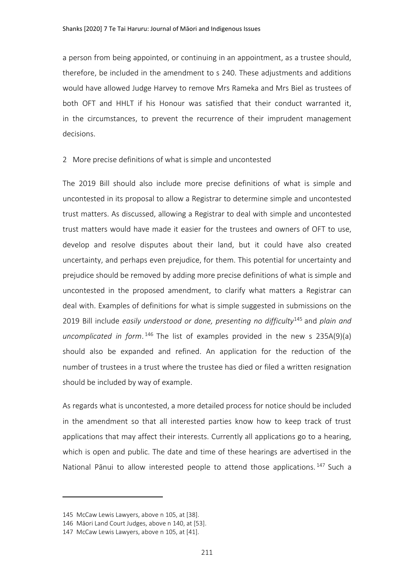a person from being appointed, or continuing in an appointment, as a trustee should, therefore, be included in the amendment to s 240. These adjustments and additions would have allowed Judge Harvey to remove Mrs Rameka and Mrs Biel as trustees of both OFT and HHLT if his Honour was satisfied that their conduct warranted it, in the circumstances, to prevent the recurrence of their imprudent management decisions.

#### 2 More precise definitions of what is simple and uncontested

The 2019 Bill should also include more precise definitions of what is simple and uncontested in its proposal to allow a Registrar to determine simple and uncontested trust matters. As discussed, allowing a Registrar to deal with simple and uncontested trust matters would have made it easier for the trustees and owners of OFT to use, develop and resolve disputes about their land, but it could have also created uncertainty, and perhaps even prejudice, for them. This potential for uncertainty and prejudice should be removed by adding more precise definitions of what is simple and uncontested in the proposed amendment, to clarify what matters a Registrar can deal with. Examples of definitions for what is simple suggested in submissions on the 2019 Bill include *easily understood or done, presenting no difficulty*<sup>145</sup> and *plain and uncomplicated in form*. <sup>146</sup> The list of examples provided in the new s 235A(9)(a) should also be expanded and refined. An application for the reduction of the number of trustees in a trust where the trustee has died or filed a written resignation should be included by way of example.

As regards what is uncontested, a more detailed process for notice should be included in the amendment so that all interested parties know how to keep track of trust applications that may affect their interests. Currently all applications go to a hearing, which is open and public. The date and time of these hearings are advertised in the National Pānui to allow interested people to attend those applications.<sup>147</sup> Such a

<sup>145</sup> McCaw Lewis Lawyers, above n [105,](#page-23-0) at [38].

<sup>146</sup> Māori Land Court Judges, above n [140,](#page-35-0) at [53].

<sup>147</sup> McCaw Lewis Lawyers, above n [105,](#page-23-0) at [41].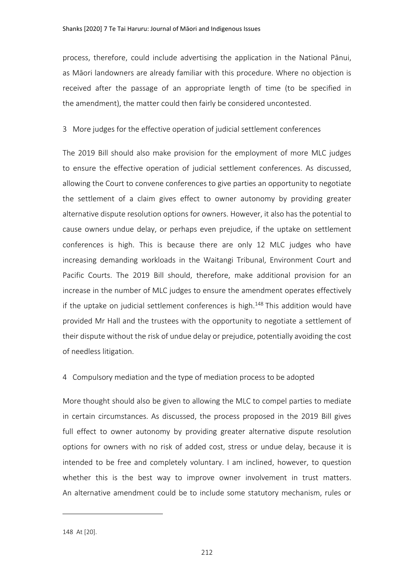process, therefore, could include advertising the application in the National Pānui, as Māori landowners are already familiar with this procedure. Where no objection is received after the passage of an appropriate length of time (to be specified in the amendment), the matter could then fairly be considered uncontested.

#### 3 More judges for the effective operation of judicial settlement conferences

The 2019 Bill should also make provision for the employment of more MLC judges to ensure the effective operation of judicial settlement conferences. As discussed, allowing the Court to convene conferences to give parties an opportunity to negotiate the settlement of a claim gives effect to owner autonomy by providing greater alternative dispute resolution options for owners. However, it also has the potential to cause owners undue delay, or perhaps even prejudice, if the uptake on settlement conferences is high. This is because there are only 12 MLC judges who have increasing demanding workloads in the Waitangi Tribunal, Environment Court and Pacific Courts. The 2019 Bill should, therefore, make additional provision for an increase in the number of MLC judges to ensure the amendment operates effectively if the uptake on judicial settlement conferences is high.<sup>148</sup> This addition would have provided Mr Hall and the trustees with the opportunity to negotiate a settlement of their dispute without the risk of undue delay or prejudice, potentially avoiding the cost of needless litigation.

#### 4 Compulsory mediation and the type of mediation process to be adopted

More thought should also be given to allowing the MLC to compel parties to mediate in certain circumstances. As discussed, the process proposed in the 2019 Bill gives full effect to owner autonomy by providing greater alternative dispute resolution options for owners with no risk of added cost, stress or undue delay, because it is intended to be free and completely voluntary. I am inclined, however, to question whether this is the best way to improve owner involvement in trust matters. An alternative amendment could be to include some statutory mechanism, rules or

<sup>148</sup> At [20].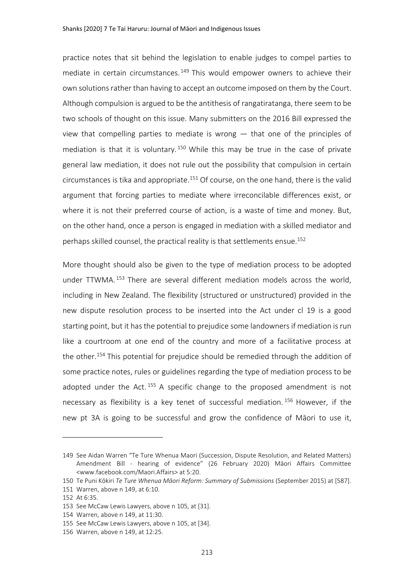<span id="page-39-0"></span>practice notes that sit behind the legislation to enable judges to compel parties to mediate in certain circumstances.<sup>149</sup> This would empower owners to achieve their own solutions rather than having to accept an outcome imposed on them by the Court. Although compulsion is argued to be the antithesis of rangatiratanga, there seem to be two schools of thought on this issue. Many submitters on the 2016 Bill expressed the view that compelling parties to mediate is wrong — that one of the principles of mediation is that it is voluntary.<sup>150</sup> While this may be true in the case of private general law mediation, it does not rule out the possibility that compulsion in certain circumstances is tika and appropriate.<sup>151</sup> Of course, on the one hand, there is the valid argument that forcing parties to mediate where irreconcilable differences exist, or where it is not their preferred course of action, is a waste of time and money. But, on the other hand, once a person is engaged in mediation with a skilled mediator and perhaps skilled counsel, the practical reality is that settlements ensue.<sup>152</sup>

More thought should also be given to the type of mediation process to be adopted under TTWMA. <sup>153</sup> There are several different mediation models across the world, including in New Zealand. The flexibility (structured or unstructured) provided in the new dispute resolution process to be inserted into the Act under cl 19 is a good starting point, but it has the potential to prejudice some landowners if mediation is run like a courtroom at one end of the country and more of a facilitative process at the other.<sup>154</sup> This potential for prejudice should be remedied through the addition of some practice notes, rules or guidelines regarding the type of mediation process to be adopted under the Act.  $155$  A specific change to the proposed amendment is not necessary as flexibility is a key tenet of successful mediation. <sup>156</sup> However, if the new pt 3A is going to be successful and grow the confidence of Māori to use it,

<sup>149</sup> See Aidan Warren "Te Ture Whenua Maori (Succession, Dispute Resolution, and Related Matters) Amendment Bill - hearing of evidence" (26 February 2020) Māori Affairs Committee <www.facebook.com/Maori.Affairs> at 5:20.

<sup>150</sup> Te Puni Kōkiri *Te Ture Whenua Māori Reform: Summary of Submissions* (September 2015) at [587].

<sup>151</sup> Warren, above n [149,](#page-39-0) at 6:10.

<sup>152</sup> At 6:35.

<sup>153</sup> See McCaw Lewis Lawyers, above [n 105,](#page-23-0) at [31].

<sup>154</sup> Warren, above n [149,](#page-39-0) at 11:30.

<sup>155</sup> See McCaw Lewis Lawyers, above [n 105,](#page-23-0) at [34].

<sup>156</sup> Warren, above n [149,](#page-39-0) at 12:25.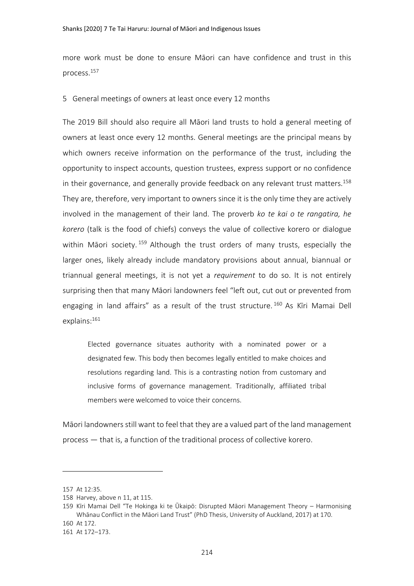more work must be done to ensure Māori can have confidence and trust in this process.<sup>157</sup>

5 General meetings of owners at least once every 12 months

The 2019 Bill should also require all Māori land trusts to hold a general meeting of owners at least once every 12 months. General meetings are the principal means by which owners receive information on the performance of the trust, including the opportunity to inspect accounts, question trustees, express support or no confidence in their governance, and generally provide feedback on any relevant trust matters.<sup>158</sup> They are, therefore, very important to owners since it is the only time they are actively involved in the management of their land. The proverb *ko te kai o te rangatira, he korero* (talk is the food of chiefs) conveys the value of collective korero or dialogue within Māori society. <sup>159</sup> Although the trust orders of many trusts, especially the larger ones, likely already include mandatory provisions about annual, biannual or triannual general meetings, it is not yet a *requirement* to do so. It is not entirely surprising then that many Māori landowners feel "left out, cut out or prevented from engaging in land affairs" as a result of the trust structure. <sup>160</sup> As Kīri Mamai Dell explains:<sup>161</sup>

Elected governance situates authority with a nominated power or a designated few. This body then becomes legally entitled to make choices and resolutions regarding land. This is a contrasting notion from customary and inclusive forms of governance management. Traditionally, affiliated tribal members were welcomed to voice their concerns.

Māori landowners still want to feel that they are a valued part of the land management process — that is, a function of the traditional process of collective korero.

<sup>157</sup> At 12:35.

<sup>158</sup> Harvey, above n [11,](#page-1-2) at 115.

<sup>159</sup> Kīri Mamai Dell "Te Hokinga ki te Ūkaipō: Disrupted Māori Management Theory – Harmonising Whānau Conflict in the Māori Land Trust" (PhD Thesis, University of Auckland, 2017) at 170.

<sup>160</sup> At 172.

<sup>161</sup> At 172–173.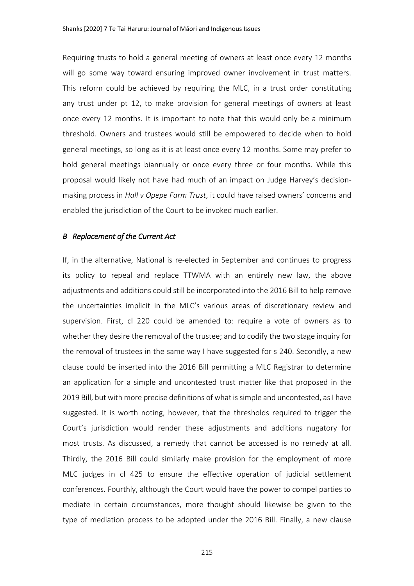Requiring trusts to hold a general meeting of owners at least once every 12 months will go some way toward ensuring improved owner involvement in trust matters. This reform could be achieved by requiring the MLC, in a trust order constituting any trust under pt 12, to make provision for general meetings of owners at least once every 12 months. It is important to note that this would only be a minimum threshold. Owners and trustees would still be empowered to decide when to hold general meetings, so long as it is at least once every 12 months. Some may prefer to hold general meetings biannually or once every three or four months. While this proposal would likely not have had much of an impact on Judge Harvey's decisionmaking process in *Hall v Opepe Farm Trust*, it could have raised owners' concerns and enabled the jurisdiction of the Court to be invoked much earlier.

#### *B Replacement of the Current Act*

If, in the alternative, National is re-elected in September and continues to progress its policy to repeal and replace TTWMA with an entirely new law, the above adjustments and additions could still be incorporated into the 2016 Bill to help remove the uncertainties implicit in the MLC's various areas of discretionary review and supervision. First, cl 220 could be amended to: require a vote of owners as to whether they desire the removal of the trustee; and to codify the two stage inquiry for the removal of trustees in the same way I have suggested for s 240. Secondly, a new clause could be inserted into the 2016 Bill permitting a MLC Registrar to determine an application for a simple and uncontested trust matter like that proposed in the 2019 Bill, but with more precise definitions of what is simple and uncontested, as I have suggested. It is worth noting, however, that the thresholds required to trigger the Court's jurisdiction would render these adjustments and additions nugatory for most trusts. As discussed, a remedy that cannot be accessed is no remedy at all. Thirdly, the 2016 Bill could similarly make provision for the employment of more MLC judges in cl 425 to ensure the effective operation of judicial settlement conferences. Fourthly, although the Court would have the power to compel parties to mediate in certain circumstances, more thought should likewise be given to the type of mediation process to be adopted under the 2016 Bill. Finally, a new clause

215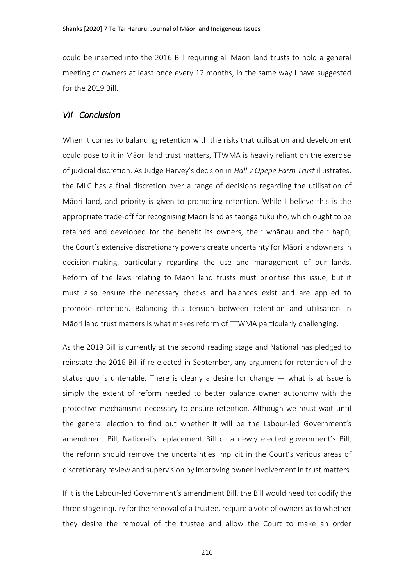could be inserted into the 2016 Bill requiring all Māori land trusts to hold a general meeting of owners at least once every 12 months, in the same way I have suggested for the 2019 Bill.

# *VII Conclusion*

When it comes to balancing retention with the risks that utilisation and development could pose to it in Māori land trust matters, TTWMA is heavily reliant on the exercise of judicial discretion. As Judge Harvey's decision in *Hall v Opepe Farm Trust* illustrates, the MLC has a final discretion over a range of decisions regarding the utilisation of Māori land, and priority is given to promoting retention. While I believe this is the appropriate trade-off for recognising Māori land as taonga tuku iho, which ought to be retained and developed for the benefit its owners, their whānau and their hapū, the Court's extensive discretionary powers create uncertainty for Māori landowners in decision-making, particularly regarding the use and management of our lands. Reform of the laws relating to Māori land trusts must prioritise this issue, but it must also ensure the necessary checks and balances exist and are applied to promote retention. Balancing this tension between retention and utilisation in Māori land trust matters is what makes reform of TTWMA particularly challenging.

As the 2019 Bill is currently at the second reading stage and National has pledged to reinstate the 2016 Bill if re-elected in September, any argument for retention of the status quo is untenable. There is clearly a desire for change  $-$  what is at issue is simply the extent of reform needed to better balance owner autonomy with the protective mechanisms necessary to ensure retention. Although we must wait until the general election to find out whether it will be the Labour-led Government's amendment Bill, National's replacement Bill or a newly elected government's Bill, the reform should remove the uncertainties implicit in the Court's various areas of discretionary review and supervision by improving owner involvement in trust matters.

If it is the Labour-led Government's amendment Bill, the Bill would need to: codify the three stage inquiry for the removal of a trustee, require a vote of owners as to whether they desire the removal of the trustee and allow the Court to make an order